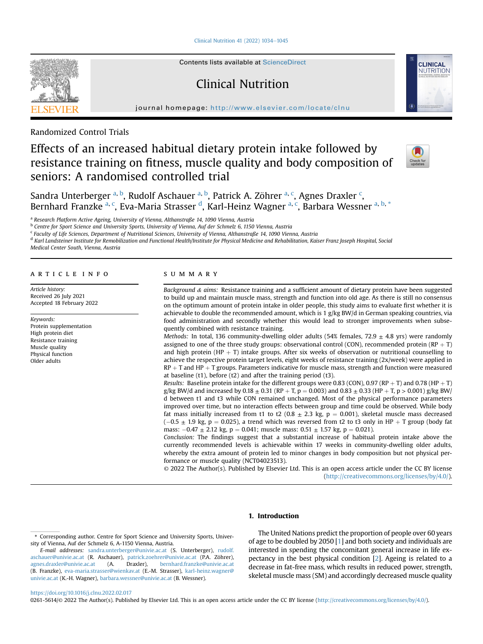[Clinical Nutrition 41 \(2022\) 1034](https://doi.org/10.1016/j.clnu.2022.02.017)-[1045](https://doi.org/10.1016/j.clnu.2022.02.017)



Contents lists available at ScienceDirect

# Clinical Nutrition



journal homepage: <http://www.elsevier.com/locate/clnu>

Randomized Control Trials

# Effects of an increased habitual dietary protein intake followed by resistance training on fitness, muscle quality and body composition of seniors: A randomised controlled trial



Sandra Unterberger <sup>[a,](#page-0-0) [b](#page-0-1)</sup>, Rudolf As[c](#page-0-2)hauer <sup>a, b</sup>, Patrick A. Zöhrer <sup>a, c</sup>, Agnes Draxler <sup>c</sup>, Bernhard Franzke <sup>[a,](#page-0-0) [c](#page-0-2)</sup>, Eva-Maria Strasser <sup>[d](#page-0-3)</sup>, Karl-Heinz Wagner <sup>a, c</sup>, Barbara Wessner <sup>a, [b,](#page-0-1) [\\*](#page-0-4)</sup>

<span id="page-0-0"></span><sup>a</sup> Research Platform Active Ageing, University of Vienna, Althanstraße 14, 1090 Vienna, Austria

<span id="page-0-1"></span><sup>b</sup> Centre for Sport Science and University Sports, University of Vienna, Auf der Schmelz 6, 1150 Vienna, Austria

<span id="page-0-2"></span><sup>c</sup> Faculty of Life Sciences, Department of Nutritional Sciences, University of Vienna, Althanstraße 14, 1090 Vienna, Austria

<span id="page-0-3"></span><sup>d</sup> Karl Landsteiner Institute for Remobilization and Functional Health/Institute for Physical Medicine and Rehabilitation, Kaiser Franz Joseph Hospital, Social

Medical Center South, Vienna, Austria

## article info

Article history: Received 26 July 2021 Accepted 18 February 2022

Keywords: Protein supplementation High protein diet Resistance training Muscle quality Physical function Older adults

#### summary

Background  $\&$  aims: Resistance training and a sufficient amount of dietary protein have been suggested to build up and maintain muscle mass, strength and function into old age. As there is still no consensus on the optimum amount of protein intake in older people, this study aims to evaluate first whether it is achievable to double the recommended amount, which is  $1 g/kg BW/d$  in German speaking countries, via food administration and secondly whether this would lead to stronger improvements when subsequently combined with resistance training.

Methods: In total, 136 community-dwelling older adults (54% females, 72.9  $\pm$  4.8 yrs) were randomly assigned to one of the three study groups: observational control (CON), recommended protein  $(RP + T)$ and high protein (HP  $+$  T) intake groups. After six weeks of observation or nutritional counselling to achieve the respective protein target levels, eight weeks of resistance training (2x/week) were applied in  $RP + T$  and  $HP + T$  groups. Parameters indicative for muscle mass, strength and function were measured at baseline (t1), before (t2) and after the training period (t3).

Results: Baseline protein intake for the different groups were 0.83 (CON), 0.97 (RP + T) and 0.78 (HP + T) g/kg BW/d and increased by 0.18  $\pm$  0.31 (RP + T, p = 0.003) and 0.83  $\pm$  0.33 (HP + T, p > 0.001) g/kg BW/ d between t1 and t3 while CON remained unchanged. Most of the physical performance parameters improved over time, but no interaction effects between group and time could be observed. While body fat mass initially increased from t1 to t2 (0.8  $\pm$  2.3 kg, p = 0.001), skeletal muscle mass decreased  $(-0.5 \pm 1.9 \text{ kg}, \text{ p} = 0.025)$ , a trend which was reversed from t2 to t3 only in HP  $+$  T group (body fat mass:  $-0.47 \pm 2.12$  kg, p  $= 0.041$ ; muscle mass:  $0.51 \pm 1.57$  kg, p  $= 0.021$ ).

Conclusion: The findings suggest that a substantial increase of habitual protein intake above the currently recommended levels is achievable within 17 weeks in community-dwelling older adults, whereby the extra amount of protein led to minor changes in body composition but not physical performance or muscle quality (NCT04023513).

© 2022 The Author(s). Published by Elsevier Ltd. This is an open access article under the CC BY license [\(http://creativecommons.org/licenses/by/4.0/](http://creativecommons.org/licenses/by/4.0/)).

# 1. Introduction

The United Nations predict the proportion of people over 60 years of age to be doubled by 2050 [\[1](#page-9-0)] and both society and individuals are interested in spending the concomitant general increase in life expectancy in the best physical condition [[2](#page-9-1)]. Ageing is related to a decrease in fat-free mass, which results in reduced power, strength, skeletal muscle mass (SM) and accordingly decreased muscle quality

<https://doi.org/10.1016/j.clnu.2022.02.017>

0261-5614/© 2022 The Author(s). Published by Elsevier Ltd. This is an open access article under the CC BY license ([http://creativecommons.org/licenses/by/4.0/\)](http://creativecommons.org/licenses/by/4.0/).

<span id="page-0-4"></span><sup>\*</sup> Corresponding author. Centre for Sport Science and University Sports, University of Vienna, Auf der Schmelz 6, A-1150 Vienna, Austria.

E-mail addresses: [sandra.unterberger@univie.ac.at](mailto:sandra.unterberger@univie.ac.at) (S. Unterberger), [rudolf.](mailto:rudolf.aschauer@univie.ac.at) [aschauer@univie.ac.at](mailto:rudolf.aschauer@univie.ac.at) (R. Aschauer), [patrick.zoehrer@univie.ac.at](mailto:patrick.zoehrer@univie.ac.at) (P.A. Zöhrer), [agnes.draxler@univie.ac.at](mailto:agnes.draxler@univie.ac.at) (A. Draxler), [bernhard.franzke@univie.ac.at](mailto:bernhard.franzke@univie.ac.at) (B. Franzke), [eva-maria.strasser@wienkav.at](mailto:eva-maria.strasser@wienkav.at) (E.-M. Strasser), [karl-heinz.wagner@](mailto:karl-heinz.wagner@univie.ac.at) [univie.ac.at](mailto:karl-heinz.wagner@univie.ac.at) (K.-H. Wagner), [barbara.wessner@univie.ac.at](mailto:barbara.wessner@univie.ac.at) (B. Wessner).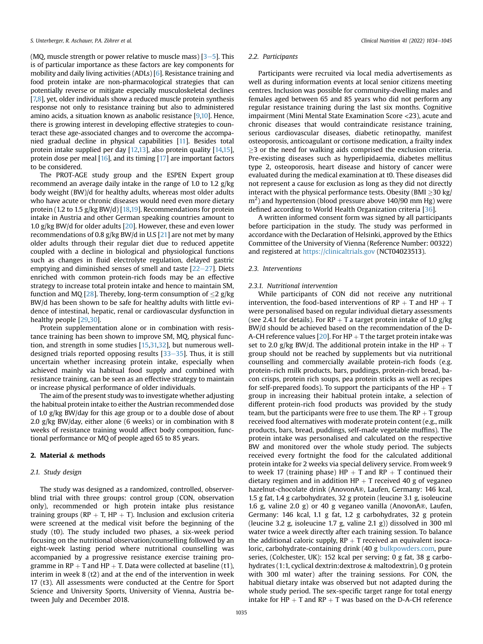(MQ, muscle strength or power relative to muscle mass)  $[3-5]$  $[3-5]$  $[3-5]$  $[3-5]$ . This is of particular importance as these factors are key components for mobility and daily living activities (ADLs) [\[6\]](#page-9-3). Resistance training and food protein intake are non-pharmacological strategies that can potentially reverse or mitigate especially musculoskeletal declines [\[7,](#page-9-4)[8\]](#page-9-5), yet, older individuals show a reduced muscle protein synthesis response not only to resistance training but also to administered amino acids, a situation known as anabolic resistance [[9,](#page-10-0)[10](#page-10-1)]. Hence, there is growing interest in developing effective strategies to counteract these age-associated changes and to overcome the accompanied gradual decline in physical capabilities [[11](#page-10-2)]. Besides total protein intake supplied per day [\[12,](#page-10-3)[13\]](#page-10-4), also protein quality [\[14,](#page-10-5)[15\]](#page-10-6), protein dose per meal [\[16\]](#page-10-7), and its timing [[17](#page-10-8)] are important factors to be considered.

The PROT-AGE study group and the ESPEN Expert group recommend an average daily intake in the range of 1.0 to 1.2 g/kg body weight (BW)/d for healthy adults, whereas most older adults who have acute or chronic diseases would need even more dietary protein (1.2 to 1.5 g/kg BW/d) [\[18](#page-10-9),[19](#page-10-10)]. Recommendations for protein intake in Austria and other German speaking countries amount to 1.0 g/kg BW/d for older adults [\[20\]](#page-10-11). However, these and even lower recommendations of 0.8 g/kg BW/d in U.S [[21\]](#page-10-12) are not met by many older adults through their regular diet due to reduced appetite coupled with a decline in biological and physiological functions such as changes in fluid electrolyte regulation, delayed gastric emptying and diminished senses of smell and taste  $[22-27]$  $[22-27]$  $[22-27]$  $[22-27]$ . Diets enriched with common protein-rich foods may be an effective strategy to increase total protein intake and hence to maintain SM, function and MQ [\[28\]](#page-10-14). Thereby, long-term consumption of  $\langle 2 \text{ g/kg} \rangle$ BW/d has been shown to be safe for healthy adults with little evidence of intestinal, hepatic, renal or cardiovascular dysfunction in healthy people [\[29,](#page-10-15)[30](#page-10-16)].

Protein supplementation alone or in combination with resistance training has been shown to improve SM, MQ, physical function, and strength in some studies [\[15](#page-10-6)[,31,](#page-10-17)[32](#page-10-18)], but numerous welldesigned trials reported opposing results  $[33-35]$  $[33-35]$  $[33-35]$  $[33-35]$ . Thus, it is still uncertain whether increasing protein intake, especially when achieved mainly via habitual food supply and combined with resistance training, can be seen as an effective strategy to maintain or increase physical performance of older individuals.

The aim of the present study was to investigate whether adjusting the habitual protein intake to either the Austrian recommended dose of 1.0 g/kg BW/day for this age group or to a double dose of about 2.0 g/kg BW/day, either alone (6 weeks) or in combination with 8 weeks of resistance training would affect body composition, functional performance or MQ of people aged 65 to 85 years.

# 2. Material & methods

# 2.1. Study design

The study was designed as a randomized, controlled, observerblind trial with three groups: control group (CON, observation only), recommended or high protein intake plus resistance training groups (RP  $+$  T, HP  $+$  T). Inclusion and exclusion criteria were screened at the medical visit before the beginning of the study (t0). The study included two phases, a six-week period focusing on the nutritional observation/counselling followed by an eight-week lasting period where nutritional counselling was accompanied by a progressive resistance exercise training programme in RP  $+$  T and HP  $+$  T. Data were collected at baseline (t1), interim in week 8 (t2) and at the end of the intervention in week 17 (t3). All assessments were conducted at the Centre for Sport Science and University Sports, University of Vienna, Austria between July and December 2018.

#### 2.2. Participants

Participants were recruited via local media advertisements as well as during information events at local senior citizens meeting centres. Inclusion was possible for community-dwelling males and females aged between 65 and 85 years who did not perform any regular resistance training during the last six months. Cognitive impairment (Mini Mental State Examination Score <23), acute and chronic diseases that would contraindicate resistance training, serious cardiovascular diseases, diabetic retinopathy, manifest osteoporosis, anticoagulant or cortisone medication, a frailty index 3 or the need for walking aids comprised the exclusion criteria. Pre-existing diseases such as hyperlipidaemia, diabetes mellitus type 2, osteoporosis, heart disease and history of cancer were evaluated during the medical examination at t0. These diseases did not represent a cause for exclusion as long as they did not directly interact with the physical performance tests. Obesity (BMI  $\geq$ 30 kg/  $\rm m^2$ ) and hypertension (blood pressure above 140/90 mm Hg) were defined according to World Health Organization criteria [\[36\]](#page-10-20).

A written informed consent form was signed by all participants before participation in the study. The study was performed in accordance with the Declaration of Helsinki, approved by the Ethics Committee of the University of Vienna (Reference Number: 00322) and registered at <https://clinicaltrials.gov> (NCT04023513).

## 2.3. Interventions

#### 2.3.1. Nutritional intervention

While participants of CON did not receive any nutritional intervention, the food-based interventions of  $RP + T$  and  $HP + T$ were personalised based on regular individual dietary assessments (see 2.4.1 for details). For RP  $+$  T a target protein intake of 1.0 g/kg BW/d should be achieved based on the recommendation of the D-A-CH reference values [[20](#page-10-11)]. For HP  $+$  T the target protein intake was set to 2.0 g/kg BW/d. The additional protein intake in the HP  $+$  T group should not be reached by supplements but via nutritional counselling and commercially available protein-rich foods (e.g. protein-rich milk products, bars, puddings, protein-rich bread, bacon crisps, protein rich soups, pea protein sticks as well as recipes for self-prepared foods). To support the participants of the  $HP + T$ group in increasing their habitual protein intake, a selection of different protein-rich food products was provided by the study team, but the participants were free to use them. The  $RP + T$  group received food alternatives with moderate protein content (e.g., milk products, bars, bread, puddings, self-made vegetable muffins). The protein intake was personalised and calculated on the respective BW and monitored over the whole study period. The subjects received every fortnight the food for the calculated additional protein intake for 2 weeks via special delivery service. From week 9 to week 17 (training phase)  $HP + T$  and  $RP + T$  continued their dietary regimen and in addition  $HP + T$  received 40 g of veganeo hazelnut-chocolate drink (AnovonA®, Laufen, Germany: 146 kcal, 1.5 g fat, 1.4 g carbohydrates, 32 g protein (leucine 3.1 g, isoleucine 1.6 g, valine 2.0 g) or 40 g veganeo vanilla (AnovonA®, Laufen, Germany: 146 kcal, 1.1 g fat, 1.2 g carbohydrates, 32 g protein (leucine 3.2 g, isoleucine 1.7 g, valine 2.1 g)) dissolved in 300 ml water twice a week directly after each training session. To balance the additional caloric supply,  $RP + T$  received an equivalent isocaloric, carbohydrate-containing drink (40 g [bulkpowders.com,](http://bulkpowders.com) pure series, (Colchester, UK): 152 kcal per serving; 0 g fat, 38 g carbohydrates (1:1, cyclical dextrin:dextrose & maltodextrin), 0 g protein with 300 ml water) after the training sessions. For CON, the habitual dietary intake was observed but not adapted during the whole study period. The sex-specific target range for total energy intake for HP  $+$  T and RP  $+$  T was based on the D-A-CH reference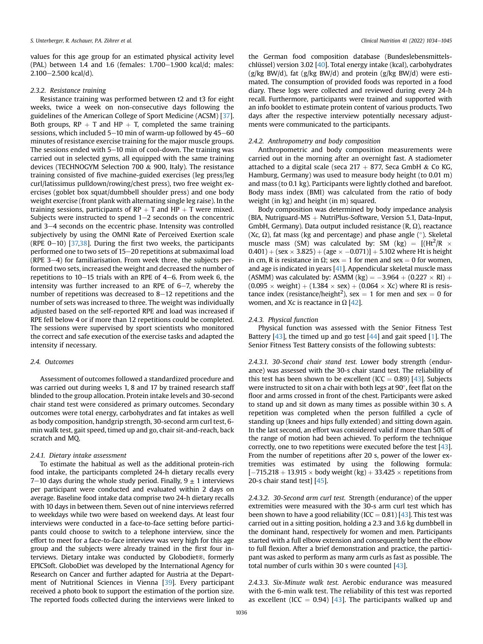values for this age group for an estimated physical activity level (PAL) between  $1.4$  and  $1.6$  (females:  $1.700-1.900$  kcal/d; males:  $2.100 - 2.500$  kcal/d).

#### 2.3.2. Resistance training

Resistance training was performed between t2 and t3 for eight weeks, twice a week on non-consecutive days following the guidelines of the American College of Sport Medicine (ACSM) [[37\]](#page-10-21). Both groups,  $RP + T$  and  $HP + T$ , completed the same training sessions, which included  $5-10$  min of warm-up followed by  $45-60$ minutes of resistance exercise training for the major muscle groups. The sessions ended with  $5-10$  min of cool-down. The training was carried out in selected gyms, all equipped with the same training devices (TECHNOGYM Selection 700 & 900, Italy). The resistance training consisted of five machine-guided exercises (leg press/leg curl/latissimus pulldown/rowing/chest press), two free weight exercises (goblet box squat/dumbbell shoulder press) and one body weight exercise (front plank with alternating single leg raise). In the training sessions, participants of  $RP + T$  and  $HP + T$  were mixed. Subjects were instructed to spend  $1-2$  seconds on the concentric and  $3-4$  seconds on the eccentric phase. Intensity was controlled subjectively by using the OMNI Rate of Perceived Exertion scale (RPE  $0-10$ ) [[37,](#page-10-21)[38\]](#page-10-22). During the first two weeks, the participants performed one to two sets of 15-20 repetitions at submaximal load (RPE  $3-4$ ) for familiarisation. From week three, the subjects performed two sets, increased the weight and decreased the number of repetitions to  $10-15$  trials with an RPE of  $4-6$ . From week 6, the intensity was further increased to an RPE of  $6-7$ , whereby the number of repetitions was decreased to  $8-12$  repetitions and the number of sets was increased to three. The weight was individually adjusted based on the self-reported RPE and load was increased if RPE fell below 4 or if more than 12 repetitions could be completed. The sessions were supervised by sport scientists who monitored the correct and safe execution of the exercise tasks and adapted the intensity if necessary.

## 2.4. Outcomes

Assessment of outcomes followed a standardized procedure and was carried out during weeks 1, 8 and 17 by trained research staff blinded to the group allocation. Protein intake levels and 30-second chair stand test were considered as primary outcomes. Secondary outcomes were total energy, carbohydrates and fat intakes as well as body composition, handgrip strength, 30-second arm curl test, 6 min walk test, gait speed, timed up and go, chair sit-and-reach, back scratch and MQ.

## 2.4.1. Dietary intake assessment

To estimate the habitual as well as the additional protein-rich food intake, the participants completed 24-h dietary recalls every 7–10 days during the whole study period. Finally,  $9 \pm 1$  interviews per participant were conducted and evaluated within 2 days on average. Baseline food intake data comprise two 24-h dietary recalls with 10 days in between them. Seven out of nine interviews referred to weekdays while two were based on weekend days. At least four interviews were conducted in a face-to-face setting before participants could choose to switch to a telephone interview, since the effort to meet for a face-to-face interview was very high for this age group and the subjects were already trained in the first four interviews. Dietary intake was conducted by Globodiet®, formerly EPICSoft. GloboDiet was developed by the International Agency for Research on Cancer and further adapted for Austria at the Department of Nutritional Sciences in Vienna [\[39](#page-10-23)]. Every participant received a photo book to support the estimation of the portion size. The reported foods collected during the interviews were linked to

the German food composition database (Bundeslebensmittelschlüssel) version 3.02 [[40\]](#page-10-24). Total energy intake (kcal), carbohydrates (g/kg BW/d), fat (g/kg BW/d) and protein (g/kg BW/d) were estimated. The consumption of provided foods was reported in a food diary. These logs were collected and reviewed during every 24-h recall. Furthermore, participants were trained and supported with an info booklet to estimate protein content of various products. Two days after the respective interview potentially necessary adjustments were communicated to the participants.

#### 2.4.2. Anthropometry and body composition

Anthropometric and body composition measurements were carried out in the morning after an overnight fast. A stadiometer attached to a digital scale (seca  $217 + 877$ , Seca GmbH & Co KG, Hamburg, Germany) was used to measure body height (to 0.01 m) and mass (to 0.1 kg). Participants were lightly clothed and barefoot. Body mass index (BMI) was calculated from the ratio of body weight (in kg) and height (in m) squared.

Body composition was determined by body impedance analysis (BIA, Nutriguard-MS  $+$  NutriPlus-Software, Version 5.1, Data-Input, GmbH, Germany). Data output included resistance  $(R, \Omega)$ , reactance (Xc,  $\Omega$ ), fat mass (kg and percentage) and phase angle ( $\Omega$ ). Skeletal muscle mass (SM) was calculated by: SM (kg) =  $[(Ht^2/R \times$  $(0.401) + (sex \times 3.825) + (age \times -0.071)] + 5.102$  where Ht is height in cm, R is resistance in  $\Omega$ ; sex = 1 for men and sex = 0 for women, and age is indicated in years [[41\]](#page-10-25). Appendicular skeletal muscle mass (ASMM) was calculated by: ASMM (kg) =  $-3.964 + (0.227 \times \text{RI}) +$  $(0.095 \times weight) + (1.384 \times sex) + (0.064 \times Xc)$  where RI is resistance index (resistance/height<sup>2</sup>), sex = 1 for men and sex = 0 for women, and Xc is reactance in  $\Omega$  [\[42](#page-10-26)].

### 2.4.3. Physical function

Physical function was assessed with the Senior Fitness Test Battery  $[43]$ , the timed up and go test  $[44]$  $[44]$  $[44]$  and gait speed  $[1]$  $[1]$  $[1]$ . The Senior Fitness Test Battery consists of the following subtests:

2.4.3.1. 30-Second chair stand test. Lower body strength (endurance) was assessed with the 30-s chair stand test. The reliability of this test has been shown to be excellent (ICC =  $0.89$ ) [\[43\]](#page-10-27). Subjects were instructed to sit on a chair with both legs at 90°, feet flat on the floor and arms crossed in front of the chest. Participants were asked to stand up and sit down as many times as possible within 30 s. A repetition was completed when the person fulfilled a cycle of standing up (knees and hips fully extended) and sitting down again. In the last second, an effort was considered valid if more than 50% of the range of motion had been achieved. To perform the technique correctly, one to two repetitions were executed before the test [[43\]](#page-10-27). From the number of repetitions after 20 s, power of the lower extremities was estimated by using the following formula:  $[-715.218 + 13.915 \times$  body weight (kg) + 33.425  $\times$  repetitions from 20-s chair stand test] [[45\]](#page-10-29).

2.4.3.2. 30-Second arm curl test. Strength (endurance) of the upper extremities were measured with the 30-s arm curl test which has been shown to have a good reliability (ICC =  $0.81$ ) [\[43\]](#page-10-27). This test was carried out in a sitting position, holding a 2.3 and 3.6 kg dumbbell in the dominant hand, respectively for women and men. Participants started with a full elbow extension and consequently bent the elbow to full flexion. After a brief demonstration and practice, the participant was asked to perform as many arm curls as fast as possible. The total number of curls within 30 s were counted [\[43\]](#page-10-27).

2.4.3.3. Six-Minute walk test. Aerobic endurance was measured with the 6-min walk test. The reliability of this test was reported as excellent (ICC = 0.94) [\[43\]](#page-10-27). The participants walked up and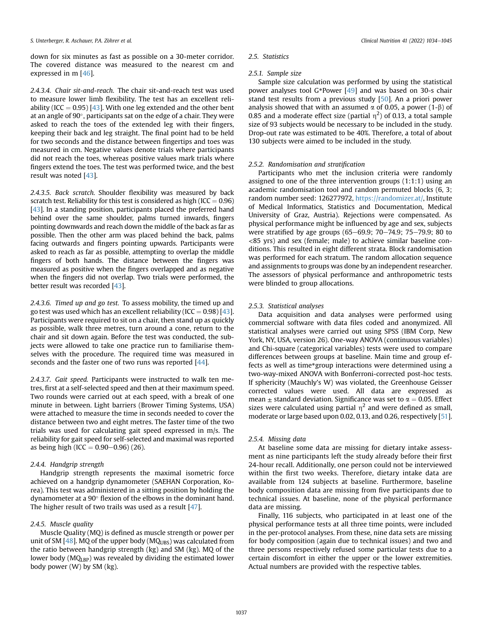down for six minutes as fast as possible on a 30-meter corridor. The covered distance was measured to the nearest cm and expressed in m [[46\]](#page-10-30).

2.4.3.4. Chair sit-and-reach. The chair sit-and-reach test was used to measure lower limb flexibility. The test has an excellent reli-ability (ICC = 0.95) [[43](#page-10-27)]. With one leg extended and the other bent at an angle of  $90^\circ$ , participants sat on the edge of a chair. They were asked to reach the toes of the extended leg with their fingers, keeping their back and leg straight. The final point had to be held for two seconds and the distance between fingertips and toes was measured in cm. Negative values denote trials where participants did not reach the toes, whereas positive values mark trials where fingers extend the toes. The test was performed twice, and the best result was noted [\[43\]](#page-10-27).

2.4.3.5. Back scratch. Shoulder flexibility was measured by back scratch test. Reliability for this test is considered as high (ICC =  $0.96$ ) [\[43\]](#page-10-27). In a standing position, participants placed the preferred hand behind over the same shoulder, palms turned inwards, fingers pointing downwards and reach down the middle of the back as far as possible. Then the other arm was placed behind the back, palms facing outwards and fingers pointing upwards. Participants were asked to reach as far as possible, attempting to overlap the middle fingers of both hands. The distance between the fingers was measured as positive when the fingers overlapped and as negative when the fingers did not overlap. Two trials were performed, the better result was recorded [[43](#page-10-27)].

2.4.3.6. Timed up and go test. To assess mobility, the timed up and go test was used which has an excellent reliability (ICC =  $0.98$ ) [\[43\]](#page-10-27). Participants were required to sit on a chair, then stand up as quickly as possible, walk three metres, turn around a cone, return to the chair and sit down again. Before the test was conducted, the subjects were allowed to take one practice run to familiarise themselves with the procedure. The required time was measured in seconds and the faster one of two runs was reported [\[44\]](#page-10-28).

2.4.3.7. Gait speed. Participants were instructed to walk ten metres, first at a self-selected speed and then at their maximum speed. Two rounds were carried out at each speed, with a break of one minute in between. Light barriers (Brower Timing Systems, USA) were attached to measure the time in seconds needed to cover the distance between two and eight metres. The faster time of the two trials was used for calculating gait speed expressed in m/s. The reliability for gait speed for self-selected and maximal was reported as being high (ICC =  $0.90-0.96$ ) (26).

## 2.4.4. Handgrip strength

Handgrip strength represents the maximal isometric force achieved on a handgrip dynamometer (SAEHAN Corporation, Korea). This test was administered in a sitting position by holding the dynamometer at a  $90^\circ$  flexion of the elbows in the dominant hand. The higher result of two trails was used as a result [[47](#page-10-31)].

### 2.4.5. Muscle quality

Muscle Quality (MQ) is defined as muscle strength or power per unit of SM  $[48]$  $[48]$  $[48]$ . MQ of the upper body (MQ<sub>UBS</sub>) was calculated from the ratio between handgrip strength (kg) and SM (kg). MQ of the lower body ( $MQ_{LBP}$ ) was revealed by dividing the estimated lower body power (W) by SM (kg).

#### 2.5. Statistics

## 2.5.1. Sample size

Sample size calculation was performed by using the statistical power analyses tool G\*Power [\[49\]](#page-10-33) and was based on 30-s chair stand test results from a previous study [[50](#page-10-34)]. An a priori power analysis showed that with an assumed  $\alpha$  of 0.05, a power (1- $\beta$ ) of 0.85 and a moderate effect size (partial  $\eta^2$ ) of 0.13, a total sample size of 93 subjects would be necessary to be included in the study. Drop-out rate was estimated to be 40%. Therefore, a total of about 130 subjects were aimed to be included in the study.

#### 2.5.2. Randomisation and stratification

Participants who met the inclusion criteria were randomly assigned to one of the three intervention groups (1:1:1) using an academic randomisation tool and random permuted blocks (6, 3; random number seed: 126277972, [https://randomizer.at/,](https://randomizer.at/) Institute of Medical Informatics, Statistics and Documentation, Medical University of Graz, Austria). Rejections were compensated. As physical performance might be influenced by age and sex, subjects were stratified by age groups (65-69.9; 70-74.9; 75-79.9; 80 to <85 yrs) and sex (female; male) to achieve similar baseline conditions. This resulted in eight different strata. Block randomisation was performed for each stratum. The random allocation sequence and assignments to groups was done by an independent researcher. The assessors of physical performance and anthropometric tests were blinded to group allocations.

#### 2.5.3. Statistical analyses

Data acquisition and data analyses were performed using commercial software with data files coded and anonymized. All statistical analyses were carried out using SPSS (IBM Corp, New York, NY, USA, version 26). One-way ANOVA (continuous variables) and Chi-square (categorical variables) tests were used to compare differences between groups at baseline. Main time and group effects as well as time\*group interactions were determined using a two-way-mixed ANOVA with Bonferroni-corrected post-hoc tests. If sphericity (Mauchly's W) was violated, the Greenhouse Geisser corrected values were used. All data are expressed as mean  $\pm$  standard deviation. Significance was set to  $\alpha = 0.05$ . Effect sizes were calculated using partial  $\eta^2$  and were defined as small, moderate or large based upon 0.02, 0.13, and 0.26, respectively [[51\]](#page-10-35).

#### 2.5.4. Missing data

At baseline some data are missing for dietary intake assessment as nine participants left the study already before their first 24-hour recall. Additionally, one person could not be interviewed within the first two weeks. Therefore, dietary intake data are available from 124 subjects at baseline. Furthermore, baseline body composition data are missing from five participants due to technical issues. At baseline, none of the physical performance data are missing.

Finally, 116 subjects, who participated in at least one of the physical performance tests at all three time points, were included in the per-protocol analyses. From these, nine data sets are missing for body composition (again due to technical issues) and two and three persons respectively refused some particular tests due to a certain discomfort in either the upper or the lower extremities. Actual numbers are provided with the respective tables.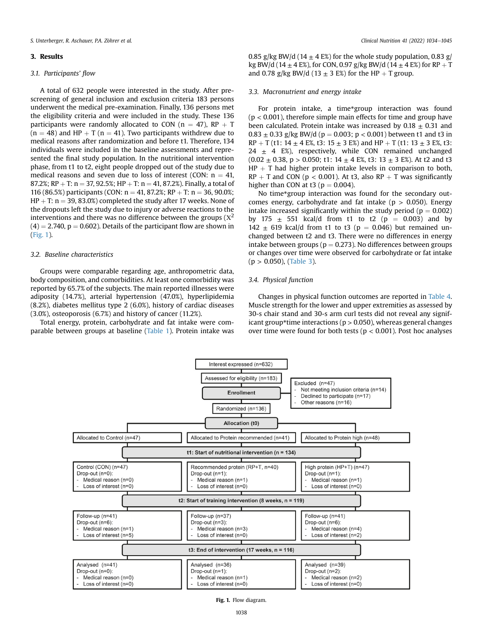#### 3. Results

# 3.1. Participants' flow

A total of 632 people were interested in the study. After prescreening of general inclusion and exclusion criteria 183 persons underwent the medical pre-examination. Finally, 136 persons met the eligibility criteria and were included in the study. These 136 participants were randomly allocated to CON ( $n = 47$ ), RP  $+T$  $(n = 48)$  and HP  $+ T (n = 41)$ . Two participants withdrew due to medical reasons after randomization and before t1. Therefore, 134 individuals were included in the baseline assessments and represented the final study population. In the nutritional intervention phase, from t1 to t2, eight people dropped out of the study due to medical reasons and seven due to loss of interest (CON:  $n = 41$ , 87.2%; RP + T:  $n = 37, 92.5$ %; HP + T:  $n = 41, 87.2$ %). Finally, a total of 116 (86.5%) participants (CON:  $n = 41, 87.2%$ ; RP + T:  $n = 36, 90.0%$ ;  $HP + T: n = 39, 83.0\%)$  completed the study after 17 weeks. None of the dropouts left the study due to injury or adverse reactions to the interventions and there was no difference between the groups  $(X^2)$  $(4) = 2.740$ ,  $p = 0.602$ ). Details of the participant flow are shown in ([Fig. 1](#page-4-0)).

## 3.2. Baseline characteristics

Groups were comparable regarding age, anthropometric data, body composition, and comorbidities. At least one comorbidity was reported by 65.7% of the subjects. The main reported illnesses were adiposity (14.7%), arterial hypertension (47.0%), hyperlipidemia (8.2%), diabetes mellitus type 2 (6.0%), history of cardiac diseases (3.0%), osteoporosis (6.7%) and history of cancer (11.2%).

<span id="page-4-0"></span>Total energy, protein, carbohydrate and fat intake were comparable between groups at baseline [\(Table 1\)](#page-5-0). Protein intake was

0.85 g/kg BW/d (14  $\pm$  4 E%) for the whole study population, 0.83 g/ kg BW/d (14  $\pm$  4 E%), for CON, 0.97 g/kg BW/d (14  $\pm$  4 E%) for RP + T and 0.78 g/kg BW/d (13  $\pm$  3 E%) for the HP + T group.

#### 3.3. Macronutrient and energy intake

For protein intake, a time\*group interaction was found  $(p < 0.001)$ , therefore simple main effects for time and group have been calculated. Protein intake was increased by  $0.18 \pm 0.31$  and  $0.83 \pm 0.33$  g/kg BW/d (p = 0.003; p < 0.001) between t1 and t3 in  $RP + T$  (t1: 14  $\pm$  4 E%, t3: 15  $\pm$  3 E%) and HP + T (t1: 13  $\pm$  3 E%, t3:  $24 \pm 4$  E%), respectively, while CON remained unchanged  $(0.02 \pm 0.38, p > 0.050; t1: 14 \pm 4 \text{ E\%}, t3: 13 \pm 3 \text{ E\%}).$  At t2 and t3  $HP + T$  had higher protein intake levels in comparison to both,  $RP + T$  and CON (p < 0.001). At t3, also  $RP + T$  was significantly higher than CON at t3 ( $p = 0.004$ ).

No time\*group interaction was found for the secondary outcomes energy, carbohydrate and fat intake ( $p > 0.050$ ). Energy intake increased significantly within the study period ( $p = 0.002$ ) by 175  $\pm$  551 kcal/d from t1 to t2 (p = 0.003) and by 142  $\pm$  619 kcal/d from t1 to t3 (p = 0.046) but remained unchanged between t2 and t3. There were no differences in energy intake between groups ( $p = 0.273$ ). No differences between groups or changes over time were observed for carbohydrate or fat intake  $(p > 0.050)$ , ([Table 3](#page-6-0)).

## 3.4. Physical function

Changes in physical function outcomes are reported in [Table 4.](#page-6-1) Muscle strength for the lower and upper extremities as assessed by 30-s chair stand and 30-s arm curl tests did not reveal any significant group\*time interactions ( $p > 0.050$ ), whereas general changes over time were found for both tests ( $p < 0.001$ ). Post hoc analyses



Fig. 1. Flow diagram.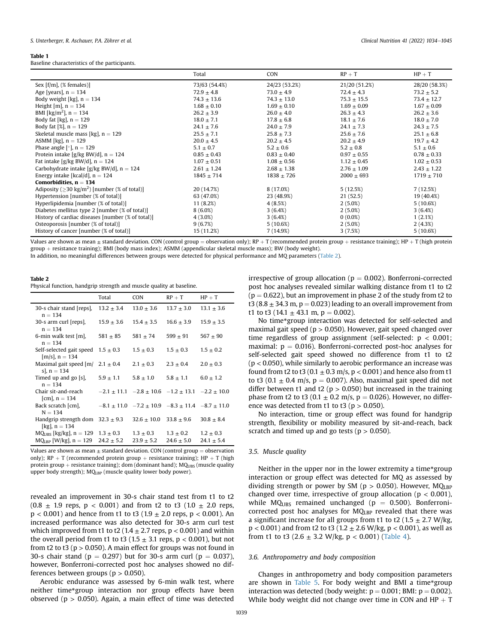#### <span id="page-5-0"></span>Table 1

Baseline characteristics of the participants.

|                                                                 | Total           | <b>CON</b>      | $RP + T$        | $HP + T$        |
|-----------------------------------------------------------------|-----------------|-----------------|-----------------|-----------------|
| Sex $[f/m]$ , $(\%$ females)                                    | 73/63 (54.4%)   | 24/23 (53.2%)   | 21/20 (51.2%)   | 28/20 (58.3%)   |
| Age [years], $n = 134$                                          | $72.9 \pm 4.8$  | $73.0 \pm 4.9$  | $72.4 \pm 4.3$  | $73.2 \pm 5.2$  |
| Body weight [kg], $n = 134$                                     | $74.3 \pm 13.6$ | $74.3 \pm 13.0$ | $75.3 \pm 15.5$ | $73.4 \pm 12.7$ |
| Height [m], $n = 134$                                           | $1.68 \pm 0.10$ | $1.69 \pm 0.10$ | $1.69 \pm 0.09$ | $1.67 \pm 0.09$ |
| BMI [kg/m <sup>2</sup> ], $n = 134$                             | $26.2 \pm 3.9$  | $26.0 \pm 4.0$  | $26.3 \pm 4.3$  | $26.2 \pm 3.6$  |
| Body fat [kg], $n = 129$                                        | $18.0 \pm 7.1$  | $17.8 \pm 6.8$  | $18.1 \pm 7.6$  | $18.0 \pm 7.0$  |
| Body fat [%], $n = 129$                                         | $24.1 \pm 7.6$  | $24.0 \pm 7.9$  | $24.1 \pm 7.3$  | $24.3 \pm 7.5$  |
| Skeletal muscle mass [kg], $n = 129$                            | $25.5 \pm 7.1$  | $25.8 \pm 7.3$  | $25.6 \pm 7.6$  | $25.1 \pm 6.8$  |
| ASMM [kg], $n = 129$                                            | $20.0 \pm 4.5$  | $20.2 \pm 4.5$  | $20.2 \pm 4.9$  | $19.7 \pm 4.2$  |
| Phase angle [ $\degree$ ], n = 129                              | $5.1 \pm 0.7$   | $5.2 \pm 0.6$   | $5.2 \pm 0.8$   | $5.1 \pm 0.6$   |
| Protein intake [g/kg BW/d], $n = 124$                           | $0.85 \pm 0.43$ | $0.83 \pm 0.40$ | $0.97 \pm 0.55$ | $0.78 \pm 0.33$ |
| Fat intake [g/kg BW/d], $n = 124$                               | $1.07 \pm 0.51$ | $1.08 \pm 0.56$ | $1.12 \pm 0.45$ | $1.02 \pm 0.53$ |
| Carbohydrate intake [g/kg BW/d], $n = 124$                      | $2.61 \pm 1.24$ | $2.68 \pm 1.38$ | $2.76 \pm 1.09$ | $2.43 \pm 1.22$ |
| Energy intake [kcal/d], $n = 124$                               | $1845 \pm 714$  | $1838 \pm 726$  | $2000 \pm 693$  | $1719 \pm 710$  |
| Comorbidities, $n = 134$                                        |                 |                 |                 |                 |
| Adiposity ( $\geq$ 30 kg/m <sup>2</sup> ) [number (% of total)] | 20 (14.7%)      | 8 (17.0%)       | 5(12.5%)        | 7(12.5%)        |
| Hypertension [number (% of total)]                              | 63 (47.0%)      | 23 (48.9%)      | 21 (52.5)       | 19 (40.4%)      |
| Hyperlipidemia [number (% of total)]                            | 11 (8.2%)       | 4(8.5%)         | $2(5.0\%)$      | 5(10.6%)        |
| Diabetes mellitus type 2 [number (% of total)]                  | $8(6.0\%)$      | 3(6.4%)         | $2(5.0\%)$      | 3(6.4%)         |
| History of cardiac diseases [number (% of total)]               | $4(3.0\%)$      | 3(6.4%)         | $0(0.0\%)$      | 1(2.1%)         |
| Osteoporosis [number (% of total)]                              | 9(6.7%)         | 5(10.6%)        | $2(5.0\%)$      | 2(4.3%)         |
| History of cancer [number (% of total)]                         | 15 (11.2%)      | 7(14.9%)        | 3(7.5%)         | 5(10.6%)        |

Values are shown as mean  $\pm$  standard deviation. CON (control group = observation only); RP + T (recommended protein group + resistance training); HP + T (high protein group þ resistance training); BMI (body mass index); ASMM (appendicular skeletal muscle mass); BW (body weight).

In addition, no meaningful differences between groups were detected for physical performance and MQ parameters ([Table 2](#page-5-1)).

#### <span id="page-5-1"></span>Table 2

Physical function, handgrip strength and muscle quality at baseline.

|                                                                            | Total                           | <b>CON</b>                                                      | $RP + T$                        | $HP + T$                        |
|----------------------------------------------------------------------------|---------------------------------|-----------------------------------------------------------------|---------------------------------|---------------------------------|
| 30-s chair stand [reps],<br>$n = 134$                                      | $13.2 \pm 3.4$                  | $13.0 \pm 3.6$                                                  | $13.7 \pm 3.0$                  | $13.1 \pm 3.6$                  |
| 30-s arm curl [reps].<br>$n = 134$                                         | $15.9 \pm 3.6$                  | $15.4 \pm 3.5$                                                  | $16.6 \pm 3.9$                  | $15.9 \pm 3.5$                  |
| 6-min walk test [m],<br>$n = 134$                                          | $581 \pm 85$                    | $581 \pm 74$                                                    | $599 + 91$                      | $567 \pm 90$                    |
| Self-selected gait speed $1.5 \pm 0.3$<br>$[m/s]$ , $n = 134$              |                                 | $1.5 \pm 0.3$                                                   | $1.5 \pm 0.3$                   | $1.5 \pm 0.2$                   |
| Maximal gait speed $\left[\text{m}/\right]$ 2.1 $\pm$ 0.4<br>s], $n = 134$ |                                 | $2.1 \pm 0.3$                                                   | $2.3 \pm 0.4$                   | $2.0 \pm 0.3$                   |
| Timed up and go [s],<br>$n = 134$                                          | $5.9 \pm 1.1$                   | $5.8 \pm 1.0$                                                   | $5.8 \pm 1.1$                   | $6.0 \pm 1.2$                   |
| Chair sit-and-reach<br>[cm], $n = 134$                                     |                                 | $-2.1 \pm 11.1$ $-2.8 \pm 10.6$ $-1.2 \pm 13.1$ $-2.2 \pm 10.0$ |                                 |                                 |
| Back scratch [cm],<br>$N = 134$                                            |                                 | $-8.1 \pm 11.0$ $-7.2 \pm 10.9$ $-8.3 \pm 11.4$ $-8.7 \pm 11.0$ |                                 |                                 |
| Handgrip strength dom $32.3 \pm 9.3$<br>[kg], $n = 134$                    |                                 | $32.6 \pm 10.0$ $33.8 \pm 9.6$                                  |                                 | $30.8 \pm 8.4$                  |
| $MQIIBS$ [kg/kg], $n = 129$<br>$MQIBP$ [W/kg], $n = 129$                   | $1.3 \pm 0.3$<br>$24.2 \pm 5.2$ | $1.3 \pm 0.3$<br>$23.9 \pm 5.2$                                 | $1.3 \pm 0.2$<br>$24.6 \pm 5.0$ | $1.2 \pm 0.3$<br>$24.1 \pm 5.4$ |
|                                                                            |                                 |                                                                 |                                 |                                 |

Values are shown as mean  $\pm$  standard deviation. CON (control group  $=$  observation only); RP + T (recommended protein group + resistance training): HP + T (high protein group + resistance training); dom (dominant hand);  $MQ<sub>UBS</sub>$  (muscle quality upper body strength); MQLBP (muscle quality lower body power).

revealed an improvement in 30-s chair stand test from t1 to t2  $(0.8 \pm 1.9 \text{ reps}, p < 0.001)$  and from t2 to t3  $(1.0 \pm 2.0 \text{ reps},$  $p < 0.001$ ) and hence from t1 to t3 (1.9  $\pm$  2.0 reps, p < 0.001). An increased performance was also detected for 30-s arm curl test which improved from t1 to t2 ( $1.4 \pm 2.7$  reps, p < 0.001) and within the overall period from t1 to t3 (1.5  $\pm$  3.1 reps, p < 0.001), but not from t2 to t3 ( $p > 0.050$ ). A main effect for groups was not found in 30-s chair stand ( $p = 0.297$ ) but for 30-s arm curl ( $p = 0.037$ ), however, Bonferroni-corrected post hoc analyses showed no differences between groups ( $p > 0.050$ ).

Aerobic endurance was assessed by 6-min walk test, where neither time\*group interaction nor group effects have been observed ( $p > 0.050$ ). Again, a main effect of time was detected

irrespective of group allocation ( $p = 0.002$ ). Bonferroni-corrected post hoc analyses revealed similar walking distance from t1 to t2  $(p = 0.622)$ , but an improvement in phase 2 of the study from t2 to t3 (8.8  $\pm$  34.3 m, p = 0.023) leading to an overall improvement from t1 to t3 (14.1  $\pm$  43.1 m, p = 0.002).

No time\*group interaction was detected for self-selected and maximal gait speed ( $p > 0.050$ ). However, gait speed changed over time regardless of group assignment (self-selected:  $p < 0.001$ ; maximal:  $p = 0.016$ ). Bonferroni-corrected post-hoc analyses for self-selected gait speed showed no difference from t1 to t2  $(p < 0.050)$ , while similarly to aerobic performance an increase was found from t2 to t3 (0.1  $\pm$  0.3 m/s, p < 0.001) and hence also from t1 to t3 (0.1  $\pm$  0.4 m/s, p = 0.007). Also, maximal gait speed did not differ between t1 and t2 ( $p > 0.050$ ) but increased in the training phase from t2 to t3 (0.1  $\pm$  0.2 m/s, p = 0.026). However, no difference was detected from t1 to t3 ( $p > 0.050$ ).

No interaction, time or group effect was found for handgrip strength, flexibility or mobility measured by sit-and-reach, back scratch and timed up and go tests ( $p > 0.050$ ).

# 3.5. Muscle quality

Neither in the upper nor in the lower extremity a time\*group interaction or group effect was detected for MQ as assessed by dividing strength or power by SM ( $p > 0.050$ ). However, MQ<sub>LBP</sub> changed over time, irrespective of group allocation ( $p < 0.001$ ), while MQ<sub>UBS</sub> remained unchanged ( $p = 0.500$ ). Bonferronicorrected post hoc analyses for MQLBP revealed that there was a significant increase for all groups from t1 to t2 (1.5  $\pm$  2.7 W/kg,  $p < 0.001$ ) and from t2 to t3 (1.2  $\pm$  2.6 W/kg, p < 0.001), as well as from t1 to t3 (2.6  $\pm$  3.2 W/kg, p < 0.001) ([Table 4\)](#page-6-1).

#### 3.6. Anthropometry and body composition

Changes in anthropometry and body composition parameters are shown in [Table 5](#page-7-0). For body weight and BMI a time\*group interaction was detected (body weight:  $p = 0.001$ ; BMI:  $p = 0.002$ ). While body weight did not change over time in CON and  $HP + T$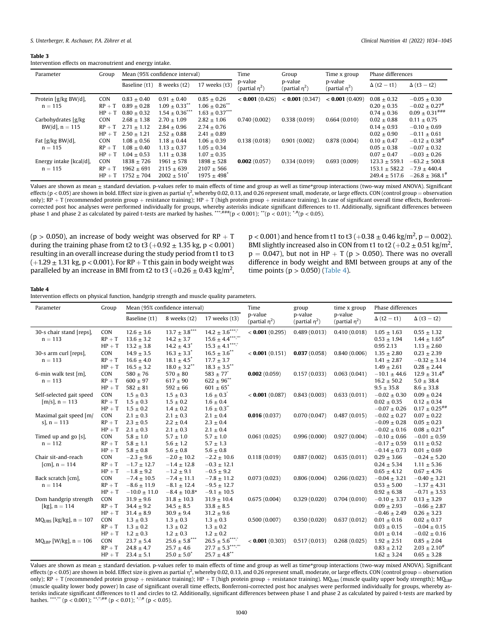#### <span id="page-6-0"></span>Table 3

Intervention effects on macronutrient and energy intake.

| Parameter                                | Group                              | Mean (95% confidence interval)                    |                                                                      | Time<br>Group                                               |                             | Time x group                | Phase differences           |                                                         |                                                                          |
|------------------------------------------|------------------------------------|---------------------------------------------------|----------------------------------------------------------------------|-------------------------------------------------------------|-----------------------------|-----------------------------|-----------------------------|---------------------------------------------------------|--------------------------------------------------------------------------|
|                                          |                                    | Baseline (t1)                                     | 8 weeks (t2)                                                         | 17 weeks (t3)                                               | p-value<br>(partial $n^2$ ) | p-value<br>(partial $n^2$ ) | p-value<br>(partial $n^2$ ) | $\Delta$ (t2 - t1)                                      | $\Delta$ (t3 - t2)                                                       |
| Protein [g/kg BW/d],<br>$n = 115$        | <b>CON</b><br>$RP + T$<br>$HP + T$ | $0.83 + 0.40$<br>$0.89 + 0.28$<br>$0.80 + 0.32$   | $0.91 + 0.40$<br>$1.09 \pm 0.33$ <sup>**</sup><br>$1.54 \pm 0.36$ ** | $0.85 \pm 0.26$<br>$1.06 \pm 0.26$ **<br>$1.63 \pm 0.37***$ | $< 0.001$ (0.426)           | < 0.001(0.347)              | < 0.001(0.409)              | $0.08 + 0.32$<br>$0.20 + 0.35$<br>$0.74 + 0.36$         | $-0.05 + 0.30$<br>$-0.02 \pm 0.27$ <sup>#</sup><br>$0.09 \pm 0.31^{***}$ |
| Carbohydrates [g/kg]<br>BW/d], $n = 115$ | <b>CON</b><br>$RP + T$<br>$HP + T$ | $2.68 + 1.38$<br>$2.71 + 1.12$<br>$2.50 + 1.21$   | $2.70 \pm 1.09$<br>$2.84 + 0.96$<br>$2.52 + 0.88$                    | $2.82 \pm 1.06$<br>$2.74 \pm 0.76$<br>$2.41 \pm 0.89$       | 0.740(0.002)                | 0.338(0.019)                | 0.664(0.010)                | $0.02 \pm 0.88$<br>$0.14 \pm 0.93$<br>$0.02 + 0.90$     | $0.11 \pm 0.75$<br>$-0.10 \pm 0.69$<br>$-0.11 + 0.61$                    |
| Fat [g/kg BW/d],<br>$n = 115$            | <b>CON</b><br>$RP + T$<br>$HP + T$ | $1.08 + 0.56$<br>$1.08 \pm 0.40$<br>$1.04 + 0.53$ | $1.18 + 0.44$<br>$1.13 + 0.37$<br>$1.11 + 0.38$                      | $1.06 + 0.39$<br>$1.05 \pm 0.34$<br>$1.07 \pm 0.35$         | 0.138(0.018)                | 0.901(0.002)                | 0.878(0.004)                | $0.10 \pm 0.47$<br>$0.05 + 0.38$<br>$0.07 + 0.47$       | $-0.12 \pm 0.38$ <sup>#</sup><br>$-0.07 \pm 0.32$<br>$-0.03 + 0.26$      |
| Energy intake [kcal/d],<br>$n = 115$     | <b>CON</b><br>$RP + T$<br>$HP + T$ | $1838 + 726$<br>$1962 \pm 691$<br>$1752 + 704$    | $1961 + 578$<br>$2115 + 639$<br>$2002 \pm 510^*$                     | $1898 + 528$<br>$2107 + 566$<br>$1975 \pm 498$ <sup>*</sup> | 0.002(0.057)                | 0.334(0.019)                | 0.693(0.009)                | $123.3 + 559.1$<br>$153.1 \pm 582.2$<br>$249.4 + 517.6$ | $-63.2 + 500.8$<br>$-7.9 + 440.4$<br>$-26.8 + 368.1$ <sup>#</sup>        |

Values are shown as mean  $\pm$  standard deviation. p-values refer to main effects of time and group as well as time\*group interactions (two-way mixed ANOVA). Significant effects (p < 0.05) are shown in bold. Effect size is given as partial  $\eta^2$ , whereby 0.02, 0.13, and 0.26 represent small, moderate, or large effects. CON (control group = observation only);  $RP + T$  (recommended protein group + resistance training);  $HP + T$  (high protein group + resistance training). In case of significant overall time effects, Bonferronicorrected post hoc analyses were performed individually for groups, whereby asterisks indicate significant differences to t1. Additionally, significant differences between phase 1 and phase 2 as calculated by paired t-tests are marked by hashes. \*\*\*,###(p < 0.001); \*\*(p < 0.01); \*\*(p < 0.05).

(p > 0.050), an increase of body weight was observed for  $RP + T$ during the training phase from t2 to t3 ( $+0.92 \pm 1.35$  kg, p < 0.001) resulting in an overall increase during the study period from t1 to t3  $(+1.29 \pm 1.31 \text{ kg}, p < 0.001)$ . For RP + T this gain in body weight was paralleled by an increase in BMI from t2 to t3 (+0.26  $\pm$  0.43 kg/m<sup>2</sup>,

 $p < 0.001$  ) and hence from t1 to t3 (+0.38  $\pm$  0.46 kg/m<sup>2</sup>, p = 0.002). BMI slightly increased also in CON from t1 to t2 ( $+0.2 \pm 0.51$  kg/m<sup>2</sup>,  $p = 0.047$ ), but not in HP  $+ T$  ( $p > 0.050$ ). There was no overall difference in body weight and BMI between groups at any of the time points ( $p > 0.050$ ) [\(Table 4](#page-6-1)).

#### <span id="page-6-1"></span>Table 4

| Intervention effects on physical function, handgrip strength and muscle quality parameters. |  |  |  |  |
|---------------------------------------------------------------------------------------------|--|--|--|--|
|---------------------------------------------------------------------------------------------|--|--|--|--|

| Parameter                   | Group      | Mean (95% confidence interval) |                              | Time                                                  | group                                                 | time x group | Phase differences              |                    |                                |
|-----------------------------|------------|--------------------------------|------------------------------|-------------------------------------------------------|-------------------------------------------------------|--------------|--------------------------------|--------------------|--------------------------------|
|                             |            | Baseline (t1)                  | 8 weeks (t2)                 | 17 weeks (t3)                                         | p-value<br>(partial $\eta^2$ )<br>(partial $\eta^2$ ) | p-value      | p-value<br>(partial $\eta^2$ ) | $\Delta$ (t2 - t1) | $\Delta$ (t3 - t2)             |
| 30-s chair stand [reps],    | CON        | $12.6 \pm 3.6$                 | $13.7 \pm 3.8***$            | $14.2$ $\pm$ $3.6^{\ast\ast\ast\ast\circ}$            | < 0.001(0.295)                                        | 0.489(0.013) | 0.410(0.018)                   | $1.05 \pm 1.63$    | $0.55 \pm 1.32$                |
| $n = 113$                   | $RP + T$   | $13.6 + 3.2$                   | $14.2 \pm 3.7$               | $15.6 \pm 4.4$ $\raisebox{18pt}{$\scriptstyle \ast$}$ |                                                       |              |                                | $0.53 \pm 1.94$    | $1.44 \pm 1.65^{\text{\#}}$    |
|                             | $HP + T$   | $13.2 \pm 3.8$                 | $14.2 \pm 4.3$ <sup>*</sup>  | $15.3$ $\pm$ $4.1^{\ast\ast\ast,\circ}$               |                                                       |              |                                | 0.95 2.13          | $1.13 \pm 2.60$                |
| 30-s arm curl [reps],       | CON        | $14.9 \pm 3.5$                 | $16.3 \pm 3.3^*$             | $16.5 \pm 3.6$ **                                     | < 0.001(0.151)                                        | 0.037(0.058) | 0.840(0.006)                   | $1.35 \pm 2.80$    | $0.23 \pm 2.39$                |
| $n = 113$                   | $RP + T$   | $16.6 \pm 4.0$                 | $18.1 \pm 4.5$ <sup>*</sup>  | $17.7 \pm 3.7$                                        |                                                       |              |                                | $1.41 \pm 2.87$    | $-0.32 \pm 3.14$               |
|                             | $HP + T$   | $16.5 \pm 3.2$                 | $18.0 \pm 3.2$ <sup>**</sup> | $18.3 \pm 3.5$ **                                     |                                                       |              |                                | $1.49 \pm 2.61$    | $0.28 \pm 2.44$                |
| 6-min walk test [m],        | CON        | $580 + 76$                     | $570 \pm 80$                 | $583 + 77^{\circ}$                                    | 0.002(0.059)                                          | 0.157(0.033) | 0.063(0.041)                   | $-10.1 \pm 44.6$   | $12.9 \pm 31.4^{\#}$           |
| $n = 113$                   | $RP + T$   | $600 \pm 97$                   | $617 \pm 90$                 | $622 \pm 96$ **                                       |                                                       |              |                                | $16.2 \pm 50.2$    | $5.0 \pm 38.4$                 |
|                             | $HP + T$   | $582 \pm 81$                   | $592 \pm 66$                 | $601 \pm 65$ <sup>*</sup>                             |                                                       |              |                                | $9.5 \pm 35.8$     | $8.6 \pm 33.8$                 |
| Self-selected gait speed    | <b>CON</b> | $1.5 \pm 0.3$                  | $1.5 \pm 0.3$                | $1.6 \pm 0.3^{\circ}$                                 | < 0.001(0.087)                                        | 0.843(0.003) | 0.633(0.011)                   | $-0.02 \pm 0.30$   | $0.09 \pm 0.24$                |
| $[m/s], n = 113$            | $RP + T$   | $1.5 \pm 0.3$                  | $1.5 \pm 0.2$                | $1.6 \pm 0.4$                                         |                                                       |              |                                | $0.02 \pm 0.35$    | $0.12 \pm 0.34$                |
|                             | $HP + T$   | $1.5 \pm 0.2$                  | $1.4 \pm 0.2$                | $1.6 \pm 0.3^{\circ}$                                 |                                                       |              |                                | $-0.07 \pm 0.26$   | $0.17 \pm 0.25^{ \text{\#}\#}$ |
| Maximal gait speed [m/      | CON        | $2.1 \pm 0.3$                  | $2.1 \pm 0.3$                | $2.1 \pm 0.4$                                         | 0.016(0.037)                                          | 0.070(0.047) | 0.487(0.015)                   | $-0.02 \pm 0.27$   | $0.07 \pm 0.22$                |
| s], $n = 113$               | $RP + T$   | $2.3 \pm 0.5$                  | $2.2 \pm 0.4$                | $2.3 \pm 0.4$                                         |                                                       |              |                                | $-0.09 \pm 0.28$   | $0.05 \pm 0.23$                |
|                             | $HP + T$   | $2.1 \pm 0.3$                  | $2.1 \pm 0.3$                | $2.1 \pm 0.4$                                         |                                                       |              |                                | $-0.02 \pm 0.16$   | $0.08 \pm 0.21^{*}$            |
| Timed up and go [s],        | CON        | $5.8 \pm 1.0$                  | $5.7 \pm 1.0$                | $5.7 \pm 1.0$                                         | 0.061(0.025)                                          | 0.996(0.000) | 0.927(0.004)                   | $-0.10 \pm 0.66$   | $-0.01 \pm 0.59$               |
| $n = 112$                   | $RP + T$   | $5.8 \pm 1.1$                  | $5.6 \pm 1.2$                | $5.7 \pm 1.3$                                         |                                                       |              |                                | $-0.17 \pm 0.59$   | $0.11 \pm 0.52$                |
|                             | $HP + T$   | $5.8 \pm 0.8$                  | $5.6 \pm 0.8$                | $5.6\pm0.8$                                           |                                                       |              |                                | $-0.14 \pm 0.73$   | $0.01 \pm 0.69$                |
| Chair sit-and-reach         | CON        | $-2.3 \pm 9.6$                 | $-2.0 \pm 10.2$              | $-2.2 \pm 10.6$                                       | 0.118(0.019)                                          | 0.887(0.002) | 0.635(0.011)                   | $0.29 \pm 3.66$    | $-0.24 \pm 5.20$               |
| $[cm]$ , $n = 114$          | $RP + T$   | $-1.7 \pm 12.7$                | $-1.4 \pm 12.8$              | $-0.3 \pm 12.1$                                       |                                                       |              |                                | $0.24 \pm 5.34$    | $1.11 \pm 5.36$                |
|                             | $HP + T$   | $-1.8 \pm 9.2$                 | $-1.2 \pm 9.1$               | $-0.5 \pm 9.2$                                        |                                                       |              |                                | $0.65 \pm 4.12$    | $0.67 \pm 4.76$                |
| Back scratch [cm],          | CON        | $-7.4 \pm 10.5$                | $-7.4 \pm 11.1$              | $-7.8 \pm 11.2$                                       | 0.073(0.023)                                          | 0.806(0.004) | 0.266(0.023)                   | $-0.04 \pm 3.21$   | $-0.40 \pm 3.21$               |
| $n = 114$                   | $RP + T$   | $-8.6 \pm 11.9$                | $-8.1 \pm 12.4$              | $-9.5 \pm 12.7$                                       |                                                       |              |                                | $0.53 \pm 5.00$    | $-1.37 \pm 4.31$               |
|                             | $HP + T$   | $-10.0 \pm 11.0$               | $-8.4 \pm 10.8*$             | $-9.1 \pm 10.5$                                       |                                                       |              |                                | $0.92 \pm 6.38$    | $-0.71 \pm 3.53$               |
| Dom handgrip strength       | CON        | $31.9 \pm 9.6$                 | $31.8 \pm 10.3$              | $31.9 \pm 10.4$                                       | 0.675(0.004)                                          | 0.329(0.020) | 0.704(0.010)                   | $-0.10 \pm 3.37$   | $0.13 \pm 3.29$                |
| [kg], $n = 114$             | $RP + T$   | $34.4 \pm 9.2$                 | $34.5 \pm 8.5$               | $33.8 \pm 8.5$                                        |                                                       |              |                                | $0.09 \pm 2.93$    | $-0.66 \pm 2.87$               |
|                             | $HP + T$   | $31.4 \pm 8.9$                 | $30.9 \pm 9.4$               | $31.2 \pm 9.6$                                        |                                                       |              |                                | $-0.46 \pm 2.49$   | $0.26 \pm 3.23$                |
| $MQLIBS$ [kg/kg], $n = 107$ | CON        | $1.3 \pm 0.3$                  | $1.3 \pm 0.3$                | $1.3 \pm 0.3$                                         | 0.500(0.007)                                          | 0.350(0.020) | 0.637(0.012)                   | $0.01 \pm 0.16$    | $0.02 \pm 0.17$                |
|                             | $RP + T$   | $1.3 \pm 0.2$                  | $1.3 \pm 0.2$                | $1.3 \pm 0.2$                                         |                                                       |              |                                | $0.03 \pm 0.15$    | $-0.04 \pm 0.15$               |
|                             | $HP + T$   | $1.2 \pm 0.3$                  | $1.2 \pm 0.3$                | $1.2 \pm 0.2$                                         |                                                       |              |                                | $0.01 \pm 0.14$    | $-0.02 \pm 0.16$               |
| $MQLBP$ [W/kg], $n = 106$   | CON        | $23.7 \pm 5.4$                 | $25.6 \pm 5.8***$            | $26.5\pm5.6^{***}$                                    | < 0.001(0.303)                                        | 0.517(0.013) | 0.268(0.025)                   | $1.92 \pm 2.51$    | $0.85 \pm 2.04$                |
|                             | $RP + T$   | $24.8 \pm 4.7$                 | $25.7 \pm 4.6$               | $27.7\pm5.3***^{\tiny\mbox{***}}$                     |                                                       |              |                                | $0.83 \pm 2.12$    | $2.03 \pm 2.10^{4}$            |
|                             | $HP + T$   | $23.4 \pm 5.1$                 | $25.0 \pm 5.0^{\circ}$       | $25.7 \pm 4.8$ <sup>**</sup>                          |                                                       |              |                                | $1.62 \pm 3.24$    | $0.65 \pm 3.28$                |

Values are shown as mean ± standard deviation. p-values refer to main effects of time and group as well as time\*group interactions (two-way mixed ANOVA). Significant effects (p < 0.05) are shown in bold. Effect size is given as partial  $\eta^2$ , whereby 0.02, 0.13, and 0.26 represent small, moderate, or large effects. CON (control group = observation only); RP + T (recommended protein group + resistance training); HP + T (high protein group + resistance training). MQ<sub>UBS</sub> (muscle quality upper body strength); MQ<sub>UBP</sub> (muscle quality lower body power) In case of significant overall time effects, Bonferroni-corrected post hoc analyses were performed individually for groups, whereby asterisks indicate significant differences to t1 and circles to t2. Additionally, significant differences between phase 1 and phase 2 as calculated by paired t-tests are marked by hashes. \*\*\*,\*\*\*\* (p < 0.001); \*\*,\*,\*# (p < 0.01); \*,\*,# (p < 0.05).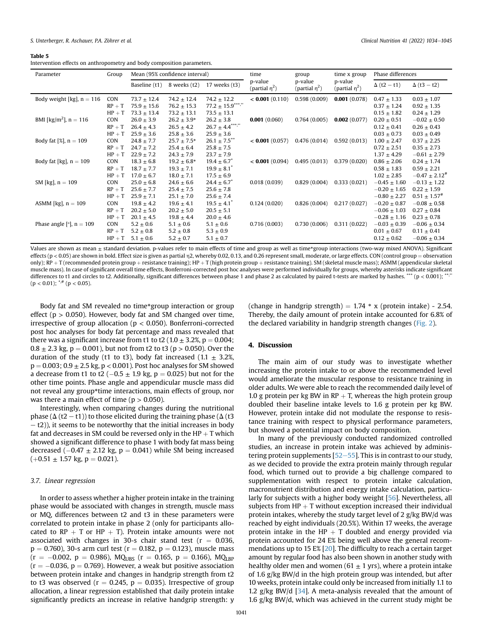#### <span id="page-7-0"></span>Table 5

Intervention effects on anthropometry and body composition parameters.

| Parameter                           | Group    | Mean (95% confidence interval) |                 | time<br>group                   |                                | time x group                   | Phase differences              |                    |                              |
|-------------------------------------|----------|--------------------------------|-----------------|---------------------------------|--------------------------------|--------------------------------|--------------------------------|--------------------|------------------------------|
|                                     |          | Baseline (t1)                  | 8 weeks (t2)    | 17 weeks (t3)                   | p-value<br>(partial $\eta^2$ ) | p-value<br>(partial $\eta^2$ ) | p-value<br>(partial $\eta^2$ ) | $\Delta$ (t2 - t1) | $\Delta$ (t3 – t2)           |
| Body weight [kg], $n = 116$         | CON      | $73.7 \pm 12.4$                | $74.2 \pm 12.4$ | $74.2 \pm 12.2$                 | < 0.001(0.110)                 | 0.598(0.009)                   | 0.001(0.078)                   | $0.47 \pm 1.33$    | $0.03 \pm 1.07$              |
|                                     | $RP + T$ | $75.9 \pm 15.6$                | $76.2 \pm 15.3$ | $77.2$ $\pm$ $15.9$ $^{***}$ ." |                                |                                |                                | $0.37 \pm 1.24$    | $0.92 \pm 1.35$              |
|                                     | $HP + T$ | $73.3 \pm 13.4$                | $73.2 \pm 13.1$ | $73.5 \pm 13.1$                 |                                |                                |                                | $0.15 \pm 1.82$    | $0.24 \pm 1.29$              |
| BMI [kg/m <sup>2</sup> ], $n = 116$ | CON      | $26.0 \pm 3.9$                 | $26.2 \pm 3.9*$ | $26.2 \pm 3.8$                  | 0.001(0.060)                   | 0.764(0.005)                   | 0.002(0.077)                   | $0.20 \pm 0.51$    | $-0.02 \pm 0.50$             |
|                                     | $RP + T$ | $26.4 \pm 4.3$                 | $26.5 \pm 4.2$  | $26.7 \pm 4.4***$               |                                |                                |                                | $0.12 \pm 0.41$    | $0.26 \pm 0.43$              |
|                                     | $HP + T$ | $25.9 \pm 3.6$                 | $25.8 \pm 3.6$  | $25.9 \pm 3.6$                  |                                |                                |                                | $0.03 \pm 0.73$    | $0.03 \pm 0.49$              |
| Body fat [%], $n = 109$             | CON      | $24.8 \pm 7.7$                 | $25.7 \pm 7.5*$ | $26.1\pm7.5^{\ast\ast}$         | < 0.001(0.057)                 | 0.476(0.014)                   | 0.592(0.013)                   | $1.00 \pm 2.47$    | $0.37 \pm 2.25$              |
|                                     | $RP + T$ | $24.7 \pm 7.2$                 | $25.4 \pm 6.4$  | $25.8 \pm 7.5$                  |                                |                                |                                | $0.72 \pm 2.51$    | $0.35 \pm 2.73$              |
|                                     | $HP + T$ | $22.9 \pm 7.2$                 | $24.3 \pm 7.9$  | $23.7 \pm 7.9$                  |                                |                                |                                | $1.37 \pm 4.29$    | $-0.61 \pm 2.79$             |
| Body fat [kg], $n = 109$            | CON      | $18.3 \pm 6.8$                 | $19.2 \pm 6.8*$ | $19.4 \pm 6.7^*$                | < 0.001(0.094)                 | 0.495(0.013)                   | 0.379(0.020)                   | $0.86 \pm 2.06$    | $0.24 \pm 1.74$              |
|                                     | $RP + T$ | $18.7 \pm 7.7$                 | $19.3 \pm 7.1$  | $19.9 \pm 8.1^*$                |                                |                                |                                | $0.58 \pm 1.83$    | $0.59 \pm 2.21$              |
|                                     | $HP + T$ | $17.0 + 6.7$                   | $18.0 \pm 7.1$  | $17.5 \pm 6.9$                  |                                |                                |                                | $1.02 \pm 2.85$    | $-0.47 \pm 2.12^+$           |
| SM [kg], $n = 109$                  | CON      | $25.0 \pm 6.8$                 | $24.6 \pm 6.6$  | $24.4 \pm 6.7$ <sup>*</sup>     | 0.018(0.039)                   | 0.829(0.004)                   | 0.333(0.021)                   | $-0.45 \pm 1.60$   | $-0.13 \pm 1.22$             |
|                                     | $RP + T$ | $25.6 \pm 7.7$                 | $25.4 \pm 7.5$  | $25.6 \pm 7.8$                  |                                |                                |                                | $-0.20 \pm 1.65$   | $0.22 \pm 1.59$              |
|                                     | $HP + T$ | $25.9 \pm 7.1$                 | $25.1 \pm 7.0$  | $25.6 \pm 7.4$                  |                                |                                |                                | $-0.80 \pm 2.27$   | $0.51 \pm 1.57$ <sup>#</sup> |
| ASMM [kg], $n = 109$                | CON      | $19.8 \pm 4.2$                 | $19.6 \pm 4.1$  | $19.5 \pm 4.1$ <sup>*</sup>     | 0.124(0.020)                   | 0.826(0.004)                   | 0.217(0.027)                   | $-0.20 \pm 0.87$   | $-0.08 \pm 0.58$             |
|                                     | $RP + T$ | $20.2 \pm 5.0$                 | $20.2 \pm 5.0$  | $20.5 \pm 5.1$                  |                                |                                |                                | $-0.06 \pm 1.03$   | $0.27 \pm 0.84$              |
|                                     | $HP + T$ | $20.1 \pm 4.5$                 | $19.8 \pm 4.4$  | $20.0 \pm 4.6$                  |                                |                                |                                | $-0.28 \pm 1.16$   | $0.23 \pm 0.78$              |
| Phase angle [ $\degree$ ], n = 109  | CON      | $5.2 \pm 0.6$                  | $5.1 \pm 0.6$   | $5.1 \pm 0.6$                   | 0.716(0.003)                   | 0.730(0.006)                   | 0.311(0.022)                   | $-0.03 \pm 0.39$   | $-0.06 \pm 0.34$             |
|                                     | $RP + T$ | $5.2 \pm 0.8$                  | $5.2 \pm 0.8$   | $5.3 \pm 0.9$                   |                                |                                |                                | $0.01 \pm 0.67$    | $0.11 \pm 0.41$              |
|                                     | $HP + T$ | $5.1 \pm 0.6$                  | $5.2 \pm 0.7$   | $5.1 \pm 0.7$                   |                                |                                |                                | $0.12 \pm 0.62$    | $-0.06 \pm 0.34$             |

Values are shown as mean  $\pm$  standard deviation. p-values refer to main effects of time and group as well as time\*group interactions (two-way mixed ANOVA). Significant effects (p < 0.05) are shown in bold. Effect size is given as partial n2, whereby 0.02, 0.13, and 0.26 represent small, moderate, or large effects, CON (control group = observation only); RP + T (recommended protein group + resistance training); HP + T (high protein group + resistance training). SM (skeletal muscle mass); ASMM (appendicular skeletal muscle mass). In case of significant overall time effects, Bonferroni-corrected post hoc analyses were performed individually for groups, whereby asterisks indicate significant differences to t1 and circles to t2. Additionally, significant differences between phase 1 and phase 2 as calculated by paired t-tests are marked by hashes. \*\*\* ( $p < 0.001$ );  $(p < 0.01)$ ;  $^{*,#}$  (p < 0.05).

Body fat and SM revealed no time\*group interaction or group effect ( $p > 0.050$ ). However, body fat and SM changed over time, irrespective of group allocation ( $p < 0.050$ ). Bonferroni-corrected post hoc analyses for body fat percentage and mass revealed that there was a significant increase from t1 to t2 ( $1.0 \pm 3.2$ %, p = 0.004;  $0.8 \pm 2.3$  kg, p = 0.001), but not from t2 to t3 (p > 0.050). Over the duration of the study (t1 to t3), body fat increased (1.1  $\pm$  3.2%,  $p = 0.003$ ;  $0.9 \pm 2.5$  kg,  $p < 0.001$ ). Post hoc analyses for SM showed a decrease from t1 to t2 ( $-0.5 \pm 1.9$  kg, p = 0.025) but not for the other time points. Phase angle and appendicular muscle mass did not reveal any group\*time interactions, main effects of group, nor was there a main effect of time ( $p > 0.050$ ).

Interestingly, when comparing changes during the nutritional phase ( $\Delta$  (t2 – t1)) to those elicited during the training phase ( $\Delta$  (t3)  $-$  t2)), it seems to be noteworthy that the initial increases in body fat and decreases in SM could be reversed only in the  $HP + T$  which showed a significant difference to phase 1 with body fat mass being decreased  $(-0.47 \pm 2.12 \text{ kg}, p = 0.041)$  while SM being increased  $(+0.51 \pm 1.57 \text{ kg}, \text{p} = 0.021).$ 

# 3.7. Linear regression

In order to assess whether a higher protein intake in the training phase would be associated with changes in strength, muscle mass or MQ, differences between t2 and t3 in these parameters were correlated to protein intake in phase 2 (only for participants allocated to  $RP + T$  or  $HP + T$ ). Protein intake amounts were not associated with changes in 30-s chair stand test ( $r = 0.036$ ,  $p = 0.760$ ), 30-s arm curl test ( $r = 0.182$ ,  $p = 0.123$ ), muscle mass  $(r = -0.002, p = 0.986)$ , MQ<sub>UBS</sub>  $(r = 0.165, p = 0.166)$ , MQ<sub>UBP</sub>  $(r = -0.036, p = 0.769)$ . However, a weak but positive association between protein intake and changes in handgrip strength from t2 to t3 was observed ( $r = 0.245$ ,  $p = 0.035$ ). Irrespective of group allocation, a linear regression established that daily protein intake significantly predicts an increase in relative handgrip strength: y

(change in handgrip strength) =  $1.74 * x$  (protein intake) - 2.54. Thereby, the daily amount of protein intake accounted for 6.8% of the declared variability in handgrip strength changes ([Fig. 2\)](#page-8-0).

#### 4. Discussion

The main aim of our study was to investigate whether increasing the protein intake to or above the recommended level would ameliorate the muscular response to resistance training in older adults. We were able to reach the recommended daily level of 1.0 g protein per kg BW in RP  $+$  T, whereas the high protein group doubled their baseline intake levels to 1.6 g protein per kg BW. However, protein intake did not modulate the response to resistance training with respect to physical performance parameters, but showed a potential impact on body composition.

In many of the previously conducted randomized controlled studies, an increase in protein intake was achieved by administering protein supplements  $[52-55]$  $[52-55]$  $[52-55]$  $[52-55]$ . This is in contrast to our study, as we decided to provide the extra protein mainly through regular food, which turned out to provide a big challenge compared to supplementation with respect to protein intake calculation, macronutrient distribution and energy intake calculation, particularly for subjects with a higher body weight [[56](#page-11-0)]. Nevertheless, all subjects from  $HP + T$  without exception increased their individual protein intakes, whereby the study target level of 2 g/kg BW/d was reached by eight individuals (20.5%). Within 17 weeks, the average protein intake in the HP  $+$  T doubled and energy provided via protein accounted for 24 E% being well above the general recommendations up to 15 E% [\[20\]](#page-10-11). The difficulty to reach a certain target amount by regular food has also been shown in another study with healthy older men and women (61  $\pm$  1 yrs), where a protein intake of 1.6 g/kg BW/d in the high protein group was intended, but after 10 weeks, protein intake could only be increased from initially 1.1 to 1.2 g/kg BW/d  $[34]$ . A meta-analysis revealed that the amount of 1.6 g/kg BW/d, which was achieved in the current study might be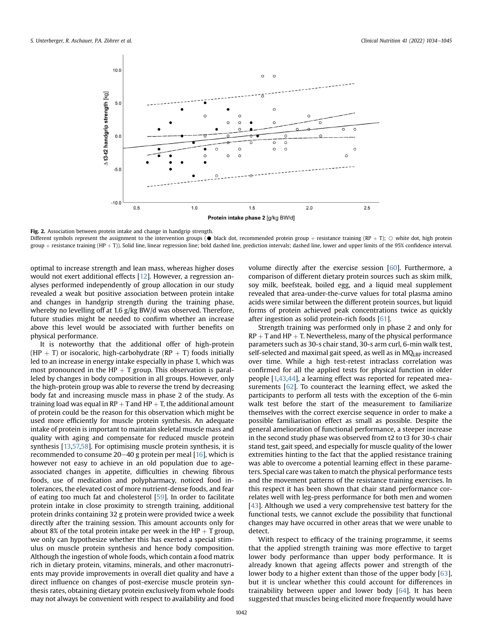<span id="page-8-0"></span>

Fig. 2. Association between protein intake and change in handgrip strength.

Different symbols represent the assignment to the intervention groups ( $\bullet$  black dot, recommended protein group + resistance training (RP + T);  $\circ$  white dot, high protein group + resistance training (HP + T)). Solid line, linear regression line; bold dashed line, prediction intervals; dashed line, lower and upper limits of the 95% confidence interval.

optimal to increase strength and lean mass, whereas higher doses would not exert additional effects [\[12\]](#page-10-3). However, a regression analyses performed independently of group allocation in our study revealed a weak but positive association between protein intake and changes in handgrip strength during the training phase, whereby no levelling off at 1.6 g/kg BW/d was observed. Therefore, future studies might be needed to confirm whether an increase above this level would be associated with further benefits on physical performance.

It is noteworthy that the additional offer of high-protein (HP + T) or isocaloric, high-carbohydrate (RP + T) foods initially led to an increase in energy intake especially in phase 1, which was most pronounced in the HP  $+$  T group. This observation is paralleled by changes in body composition in all groups. However, only the high-protein group was able to reverse the trend by decreasing body fat and increasing muscle mass in phase 2 of the study. As training load was equal in  $RP + T$  and  $HP + T$ , the additional amount of protein could be the reason for this observation which might be used more efficiently for muscle protein synthesis. An adequate intake of protein is important to maintain skeletal muscle mass and quality with aging and compensate for reduced muscle protein synthesis [\[13](#page-10-4)[,57,](#page-11-1)[58](#page-11-2)]. For optimising muscle protein synthesis, it is recommended to consume  $20-40$  g protein per meal  $[16]$  $[16]$ , which is however not easy to achieve in an old population due to ageassociated changes in appetite, difficulties in chewing fibrous foods, use of medication and polypharmacy, noticed food intolerances, the elevated cost of more nutrient-dense foods, and fear of eating too much fat and cholesterol [\[59\]](#page-11-3). In order to facilitate protein intake in close proximity to strength training, additional protein drinks containing 32 g protein were provided twice a week directly after the training session. This amount accounts only for about 8% of the total protein intake per week in the HP  $+$  T group, we only can hypothesize whether this has exerted a special stimulus on muscle protein synthesis and hence body composition. Although the ingestion of whole foods, which contain a food matrix rich in dietary protein, vitamins, minerals, and other macronutrients may provide improvements in overall diet quality and have a direct influence on changes of post-exercise muscle protein synthesis rates, obtaining dietary protein exclusively from whole foods may not always be convenient with respect to availability and food

volume directly after the exercise session [\[60\]](#page-11-4). Furthermore, a comparison of different dietary protein sources such as skim milk, soy milk, beefsteak, boiled egg, and a liquid meal supplement revealed that area-under-the-curve values for total plasma amino acids were similar between the different protein sources, but liquid forms of protein achieved peak concentrations twice as quickly after ingestion as solid protein-rich foods [[61\]](#page-11-5).

Strength training was performed only in phase 2 and only for  $RP + T$  and  $HP + T$ . Nevertheless, many of the physical performance parameters such as 30-s chair stand, 30-s arm curl, 6-min walk test, self-selected and maximal gait speed, as well as in MQLBP increased over time. While a high test-retest intraclass correlation was confirmed for all the applied tests for physical function in older people [[1,](#page-9-0)[43](#page-10-27)[,44\]](#page-10-28), a learning effect was reported for repeated measurements [[62](#page-11-6)]. To counteract the learning effect, we asked the participants to perform all tests with the exception of the 6-min walk test before the start of the measurement to familiarize themselves with the correct exercise sequence in order to make a possible familiarisation effect as small as possible. Despite the general amelioration of functional performance, a steeper increase in the second study phase was observed from t2 to t3 for 30-s chair stand test, gait speed, and especially for muscle quality of the lower extremities hinting to the fact that the applied resistance training was able to overcome a potential learning effect in these parameters. Special care was taken to match the physical performance tests and the movement patterns of the resistance training exercises. In this respect it has been shown that chair stand performance correlates well with leg-press performance for both men and women [[43](#page-10-27)]. Although we used a very comprehensive test battery for the functional tests, we cannot exclude the possibility that functional changes may have occurred in other areas that we were unable to detect.

With respect to efficacy of the training programme, it seems that the applied strength training was more effective to target lower body performance than upper body performance. It is already known that ageing affects power and strength of the lower body to a higher extent than those of the upper body [[63\]](#page-11-7), but it is unclear whether this could account for differences in trainability between upper and lower body [[64](#page-11-8)]. It has been suggested that muscles being elicited more frequently would have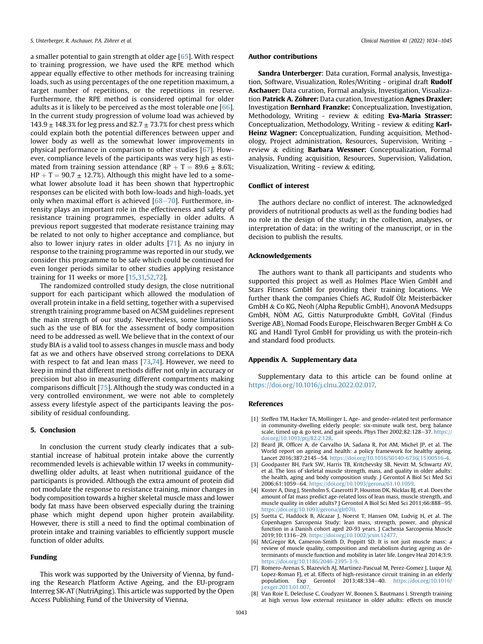a smaller potential to gain strength at older age [[65](#page-11-9)]. With respect to training progression, we have used the RPE method which appear equally effective to other methods for increasing training loads, such as using percentages of the one repetition maximum, a target number of repetitions, or the repetitions in reserve. Furthermore, the RPE method is considered optimal for older adults as it is likely to be perceived as the most tolerable one [[66\]](#page-11-10). In the current study progression of volume load was achieved by  $143.9 \pm 148.3\%$  for leg press and  $82.7 \pm 73.7\%$  for chest press which could explain both the potential differences between upper and lower body as well as the somewhat lower improvements in physical performance in comparison to other studies [[67](#page-11-11)]. However, compliance levels of the participants was very high as estimated from training session attendance (RP + T = 89.6  $\pm$  8.6%;  $HP + T = 90.7 \pm 12.7\%)$ . Although this might have led to a somewhat lower absolute load it has been shown that hypertrophic responses can be elicited with both low-loads and high-loads, yet only when maximal effort is achieved  $[68-70]$  $[68-70]$  $[68-70]$  $[68-70]$  $[68-70]$ . Furthermore, intensity plays an important role in the effectiveness and safety of resistance training programmes, especially in older adults. A previous report suggested that moderate resistance training may be related to not only to higher acceptance and compliance, but also to lower injury rates in older adults [\[71\]](#page-11-13). As no injury in response to the training programme was reported in our study, we consider this programme to be safe which could be continued for even longer periods similar to other studies applying resistance training for 11 weeks or more [[15,](#page-10-6)[31,](#page-10-17)[52,](#page-10-36)[72](#page-11-14)].

The randomized controlled study design, the close nutritional support for each participant which allowed the modulation of overall protein intake in a field setting, together with a supervised strength training programme based on ACSM guidelines represent the main strength of our study. Nevertheless, some limitations such as the use of BIA for the assessment of body composition need to be addressed as well. We believe that in the context of our study BIA is a valid tool to assess changes in muscle mass and body fat as we and others have observed strong correlations to DEXA with respect to fat and lean mass  $[73,74]$  $[73,74]$ . However, we need to keep in mind that different methods differ not only in accuracy or precision but also in measuring different compartments making comparisons difficult [[75](#page-11-17)]. Although the study was conducted in a very controlled environment, we were not able to completely assess every lifestyle aspect of the participants leaving the possibility of residual confounding.

## 5. Conclusion

In conclusion the current study clearly indicates that a substantial increase of habitual protein intake above the currently recommended levels is achievable within 17 weeks in communitydwelling older adults, at least when nutritional guidance of the participants is provided. Although the extra amount of protein did not modulate the response to resistance training, minor changes in body composition towards a higher skeletal muscle mass and lower body fat mass have been observed especially during the training phase which might depend upon higher protein availability. However, there is still a need to find the optimal combination of protein intake and training variables to efficiently support muscle function of older adults.

#### Funding

This work was supported by the University of Vienna, by funding the Research Platform Active Ageing, and the EU-program Interreg SK-AT (NutriAging). This article was supported by the Open Access Publishing Fund of the University of Vienna.

#### Author contributions

Sandra Unterberger: Data curation, Formal analysis, Investigation, Software, Visualization, Roles/Writing - original draft Rudolf Aschauer: Data curation, Formal analysis, Investigation, Visualization Patrick A. Zöhrer: Data curation, Investigation Agnes Draxler: Investigation Bernhard Franzke: Conceptualization, Investigation, Methodology, Writing - review & editing Eva-Maria Strasser: Conceptualization, Methodology, Writing - review & editing Karl-Heinz Wagner: Conceptualization, Funding acquisition, Methodology, Project administration, Resources, Supervision, Writing review & editing Barbara Wessner: Conceptualization, Formal analysis, Funding acquisition, Resources, Supervision, Validation, Visualization, Writing - review & editing.

## Conflict of interest

The authors declare no conflict of interest. The acknowledged providers of nutritional products as well as the funding bodies had no role in the design of the study; in the collection, analyses, or interpretation of data; in the writing of the manuscript, or in the decision to publish the results.

## Acknowledgements

The authors want to thank all participants and students who supported this project as well as Holmes Place Wien GmbH and Stars Fitness GmbH for providing their training locations. We further thank the companies Chiefs AG, Rudolf Ölz Meisterbäcker GmbH & Co KG, Neoh (Alpha Republic GmbH), AnovonA Medsupps GmbH, NOM AG, Gittis Naturprodukte GmbH, GoVital (Findus Sverige AB), Nomad Foods Europe, Fleischwaren Berger GmbH & Co KG and Handl Tyrol GmbH for providing us with the protein-rich and standard food products.

## Appendix A. Supplementary data

Supplementary data to this article can be found online at [https://doi.org/10.1016/j.clnu.2022.02.017.](https://doi.org/10.1016/j.clnu.2022.02.017)

#### <span id="page-9-0"></span>References

- [1] Steffen TM, Hacker TA, Mollinger L. Age- and gender-related test performance in community-dwelling elderly people: six-minute walk test, berg balance scale, timed up & go test, and gait speeds. Phys Ther 2002;82:128-37. [https://](https://doi.org/10.1093/ptj/82.2.128) [doi.org/10.1093/ptj/82.2.128.](https://doi.org/10.1093/ptj/82.2.128)
- <span id="page-9-1"></span>[2] Beard JR, Officer A, de Carvalho IA, Sadana R, Pot AM, Michel JP, et al. The World report on ageing and health: a policy framework for healthy ageing. Lancet 2016;387:2145-54. [https://doi.org/10.1016/S0140-6736\(15\)00516-4.](https://doi.org/10.1016/S0140-6736(15)00516-4)
- <span id="page-9-2"></span>[3] Goodpaster BH, Park SW, Harris TB, Kritchevsky SB, Nevitt M, Schwartz AV, et al. The loss of skeletal muscle strength, mass, and quality in older adults: the health, aging and body composition study. J Gerontol A Biol Sci Med Sci 2006;61:1059-64. <https://doi.org/10.1093/gerona/61.10.1059>.
- [4] Koster A, Ding J, Stenholm S, Caserotti P, Houston DK, Nicklas BJ, et al. Does the amount of fat mass predict age-related loss of lean mass, muscle strength, and muscle quality in older adults? J Gerontol A Biol Sci Med Sci 2011;66:888-95. [https://doi.org/10.1093/gerona/glr070.](https://doi.org/10.1093/gerona/glr070)
- [5] Suetta C, Haddock B, Alcazar J, Noerst T, Hansen OM, Ludvig H, et al. The Copenhagen Sarcopenia Study: lean mass, strength, power, and physical function in a Danish cohort aged 20-93 years. J Cachexia Sarcopenia Muscle 2019;10:1316-29. <https://doi.org/10.1002/jcsm.12477>
- <span id="page-9-3"></span>[6] McGregor RA, Cameron-Smith D, Poppitt SD. It is not just muscle mass: a review of muscle quality, composition and metabolism during ageing as determinants of muscle function and mobility in later life. Longev Heal 2014;3:9. <https://doi.org/10.1186/2046-2395-3-9>.
- <span id="page-9-4"></span>[7] Romero-Arenas S, Blazevich AJ, Martinez-Pascual M, Perez-Gomez J, Luque AJ, Lopez-Roman FJ, et al. Effects of high-resistance circuit training in an elderly population. Exp Gerontol 2013;48:334-40. [https://doi.org/10.1016/](https://doi.org/10.1016/j.exger.2013.01.007) [j.exger.2013.01.007.](https://doi.org/10.1016/j.exger.2013.01.007)
- <span id="page-9-5"></span>[8] Van Roie E, Delecluse C, Coudyzer W, Boonen S, Bautmans I. Strength training at high versus low external resistance in older adults: effects on muscle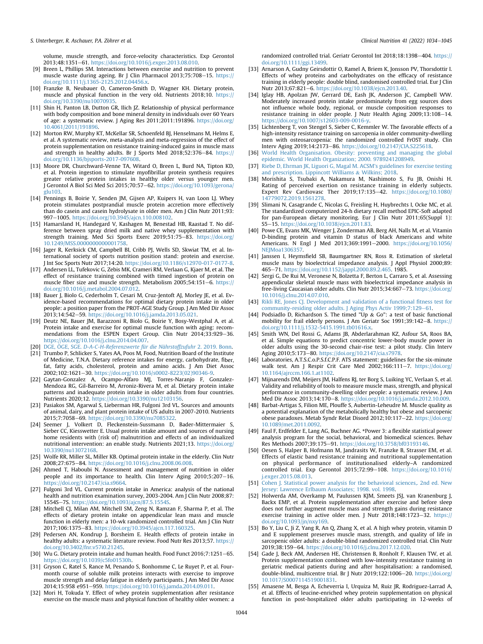volume, muscle strength, and force-velocity characteristics. Exp Gerontol 2013;48:1351-61. [https://doi.org/10.1016/j.exger.2013.08.010.](https://doi.org/10.1016/j.exger.2013.08.010)

- <span id="page-10-0"></span>[9] Breen L, Phillips SM. Interactions between exercise and nutrition to prevent muscle waste during ageing. Br J Clin Pharmacol 2013;75:708-15. [https://](https://doi.org/10.1111/j.1365-2125.2012.04456.x) [doi.org/10.1111/j.1365-2125.2012.04456.x](https://doi.org/10.1111/j.1365-2125.2012.04456.x).
- <span id="page-10-1"></span>[10] Franzke B, Neubauer O, Cameron-Smith D, Wagner KH. Dietary protein, muscle and physical function in the very old. Nutrients 2018;10. [https://](https://doi.org/10.3390/nu10070935) [doi.org/10.3390/nu10070935](https://doi.org/10.3390/nu10070935).
- <span id="page-10-2"></span>[11] Shin H, Panton LB, Dutton GR, Ilich IZ, Relationship of physical performance with body composition and bone mineral density in individuals over 60 Years of age: a systematic review. J Aging Res 2011;2011:191896. [https://doi.org/](https://doi.org/10.4061/2011/191896) [10.4061/2011/191896.](https://doi.org/10.4061/2011/191896)
- <span id="page-10-3"></span>[12] Morton RW, Murphy KT, McKellar SR, Schoenfeld BJ, Henselmans M, Helms E, et al. A systematic review, meta-analysis and meta-regression of the effect of protein supplementation on resistance training-induced gains in muscle mass and strength in healthy adults. Br J Sports Med 2018;52:376-84. [https://](https://doi.org/10.1136/bjsports-2017-097608) [doi.org/10.1136/bjsports-2017-097608.](https://doi.org/10.1136/bjsports-2017-097608)
- <span id="page-10-4"></span>[13] Moore DR, Churchward-Venne TA, Witard O, Breen L, Burd NA, Tipton KD, et al. Protein ingestion to stimulate myofibrillar protein synthesis requires greater relative protein intakes in healthy older versus younger men. J Gerontol A Biol Sci Med Sci 2015;70:57-62. [https://doi.org/10.1093/gerona/](https://doi.org/10.1093/gerona/glu103) [glu103.](https://doi.org/10.1093/gerona/glu103)
- <span id="page-10-5"></span>[14] Pennings B, Boirie Y, Senden JM, Gijsen AP, Kuipers H, van Loon LJ. Whey protein stimulates postprandial muscle protein accretion more effectively than do casein and casein hydrolysate in older men. Am J Clin Nutr 2011;93: 997-1005. <https://doi.org/10.3945/ajcn.110.008102>.
- <span id="page-10-6"></span>[15] Hamarsland H, Handegard V, Kashagen M, Benestad HB, Raastad T. No difference between spray dried milk and native whey supplementation with strength training. Med Sci Sports Exerc 2019;51:75-83. [https://doi.org/](https://doi.org/10.1249/MSS.0000000000001758) [10.1249/MSS.0000000000001758.](https://doi.org/10.1249/MSS.0000000000001758)
- <span id="page-10-7"></span>[16] Jager R, Kerksick CM, Campbell BI, Cribb PJ, Wells SD, Skwiat TM, et al. International society of sports nutrition position stand: protein and exercise. J Int Soc Sports Nutr 2017;14:20. <https://doi.org/10.1186/s12970-017-0177-8>.
- <span id="page-10-8"></span>[17] Andersen LL, Tufekovic G, Zebis MK, Crameri RM, Verlaan G, Kjaer M, et al. The effect of resistance training combined with timed ingestion of protein on muscle fiber size and muscle strength. Metabolism 2005;54:151-6. [https://](https://doi.org/10.1016/j.metabol.2004.07.012) [doi.org/10.1016/j.metabol.2004.07.012.](https://doi.org/10.1016/j.metabol.2004.07.012)
- <span id="page-10-9"></span>[18] Bauer J, Biolo G, Cederholm T, Cesari M, Cruz-Jentoft AJ, Morley JE, et al. Evidence-based recommendations for optimal dietary protein intake in older people: a position paper from the PROT-AGE Study Group. J Am Med Dir Assoc 2013;14:542-59. <https://doi.org/10.1016/j.jamda.2013.05.021>.
- <span id="page-10-10"></span>[19] Deutz NE, Bauer JM, Barazzoni R, Biolo G, Boirie Y, Bosy-Westphal A, et al. Protein intake and exercise for optimal muscle function with aging: recommendations from the ESPEN Expert Group. Clin Nutr 2014;33:929-36. [https://doi.org/10.1016/j.clnu.2014.04.007.](https://doi.org/10.1016/j.clnu.2014.04.007)
- <span id="page-10-11"></span>[20] [DGE,](http://refhub.elsevier.com/S0261-5614(22)00068-1/sref20) OGE, SGE. € [D-A-C-H-Referenzwerte für die N](http://refhub.elsevier.com/S0261-5614(22)00068-1/sref20)ahrstoffzufuhr € [2. 2019. Bonn.](http://refhub.elsevier.com/S0261-5614(22)00068-1/sref20)
- <span id="page-10-12"></span>[21] Trumbo P, Schlicker S, Yates AA, Poos M, Food, Nutrition Board of the Institute of Medicine, T.N.A. Dietary reference intakes for energy, carbohydrate, fiber, fat, fatty acids, cholesterol, protein and amino acids. J Am Diet Assoc 2002;102:1621-30. [https://doi.org/10.1016/s0002-8223\(02\)90346-9.](https://doi.org/10.1016/s0002-8223(02)90346-9)
- <span id="page-10-13"></span>[22] Gaytan-Gonzalez A, Ocampo-Alfaro MJ, Torres-Naranjo F, Gonzalez-Mendoza RG, Gil-Barreiro M, Arroniz-Rivera M, et al. Dietary protein intake patterns and inadequate protein intake in older adults from four countries. Nutrients 2020;12. <https://doi.org/10.3390/nu12103156>.
- [23] Pasiakos SM, Agarwal S, Lieberman HR, Fulgoni 3rd VL. Sources and amounts of animal, dairy, and plant protein intake of US adults in 2007-2010. Nutrients 2015;7:7058-69. [https://doi.org/10.3390/nu7085322.](https://doi.org/10.3390/nu7085322)
- [24] Seemer J, Volkert D, Fleckenstein-Sussmann D, Bader-Mittermaier S, Sieber CC, Kiesswetter E. Usual protein intake amount and sources of nursing home residents with (risk of) malnutrition and effects of an individualized nutritional intervention: an enable study. Nutrients 2021;13. [https://doi.org/](https://doi.org/10.3390/nu13072168) [10.3390/nu13072168.](https://doi.org/10.3390/nu13072168)
- [25] Wolfe RR, Miller SL, Miller KB. Optimal protein intake in the elderly. Clin Nutr 2008;27:675-84. [https://doi.org/10.1016/j.clnu.2008.06.008.](https://doi.org/10.1016/j.clnu.2008.06.008)
- [26] Ahmed T, Haboubi N. Assessment and management of nutrition in older people and its importance to health. Clin Interv Aging 2010;5:207-16. <https://doi.org/10.2147/cia.s9664>.
- [27] Fulgoni 3rd VL. Current protein intake in America: analysis of the national health and nutrition examination survey, 2003-2004. Am J Clin Nutr 2008;87: 1554Se7S. [https://doi.org/10.1093/ajcn/87.5.1554S.](https://doi.org/10.1093/ajcn/87.5.1554S)
- <span id="page-10-14"></span>[28] Mitchell CJ, Milan AM, Mitchell SM, Zeng N, Ramzan F, Sharma P, et al. The effects of dietary protein intake on appendicular lean mass and muscle function in elderly men: a 10-wk randomized controlled trial. Am J Clin Nutr 2017;106:1375-83. [https://doi.org/10.3945/ajcn.117.160325.](https://doi.org/10.3945/ajcn.117.160325)
- <span id="page-10-15"></span>[29] Pedersen AN, Kondrup J, Borsheim E. Health effects of protein intake in healthy adults: a systematic literature review. Food Nutr Res 2013;57. [https://](https://doi.org/10.3402/fnr.v57i0.21245) [doi.org/10.3402/fnr.v57i0.21245.](https://doi.org/10.3402/fnr.v57i0.21245)
- <span id="page-10-16"></span>[30] Wu G. Dietary protein intake and human health. Food Funct 2016;7:1251-65. <https://doi.org/10.1039/c5fo01530h>.
- <span id="page-10-17"></span>[31] Gryson C, Ratel S, Rance M, Penando S, Bonhomme C, Le Ruyet P, et al. Fourmonth course of soluble milk proteins interacts with exercise to improve muscle strength and delay fatigue in elderly participants. J Am Med Dir Assoc 2014;15:958 e951-959. <https://doi.org/10.1016/j.jamda.2014.09.011>.
- <span id="page-10-18"></span>[32] Mori H, Tokuda Y. Effect of whey protein supplementation after resistance exercise on the muscle mass and physical function of healthy older women: a

randomized controlled trial. Geriatr Gerontol Int 2018;18:1398-404. [https://](https://doi.org/10.1111/ggi.13499) [doi.org/10.1111/ggi.13499](https://doi.org/10.1111/ggi.13499).

- <span id="page-10-19"></span>[33] Arnarson A, Gudny Geirsdottir O, Ramel A, Briem K, Jonsson PV, Thorsdottir I. Effects of whey proteins and carbohydrates on the efficacy of resistance training in elderly people: double blind, randomised controlled trial. Eur J Clin Nutr 2013;67:821-6. <https://doi.org/10.1038/ejcn.2013.40>.
- <span id="page-10-37"></span>[34] Iglay HB, Apolzan JW, Gerrard DE, Eash JK, Anderson JC, Campbell WW. Moderately increased protein intake predominately from egg sources does not influence whole body, regional, or muscle composition responses to resistance training in older people. J Nutr Health Aging 2009;13:108-14. <https://doi.org/10.1007/s12603-009-0016-y>.
- [35] Lichtenberg T, von Stengel S, Sieber C, Kemmler W. The favorable effects of a high-intensity resistance training on sarcopenia in older community-dwelling men with osteosarcopenia: the randomized controlled FrOST study. Clin Interv Aging 2019;14:2173-86. <https://doi.org/10.2147/CIA.S225618>.
- <span id="page-10-20"></span>[36] [World Health Organisation. Obesity: preventing and managing the global](http://refhub.elsevier.com/S0261-5614(22)00068-1/sref36) [epidemic. World Health Organization; 2000. 9789241208949.](http://refhub.elsevier.com/S0261-5614(22)00068-1/sref36)
- <span id="page-10-21"></span>[37] Riebe D, Ehrman JK, Liguori G, Magal M, ACSM's guidelines for exercise testing [and prescription. Lippincott Williams](http://refhub.elsevier.com/S0261-5614(22)00068-1/sref37) & [Wilkins; 2018](http://refhub.elsevier.com/S0261-5614(22)00068-1/sref37).
- <span id="page-10-22"></span>[38] Morishita S, Tsubaki A, Nakamura M, Nashimoto S, Fu JB, Onishi H. Rating of perceived exertion on resistance training in elderly subjects. Expert Rev Cardiovasc Ther 2019;17:135-42. [https://doi.org/10.1080/](https://doi.org/10.1080/14779072.2019.1561278) [14779072.2019.1561278.](https://doi.org/10.1080/14779072.2019.1561278)
- <span id="page-10-23"></span>[39] Slimani N, Casagrande C, Nicolas G, Freisling H, Huybrechts I, Ocke MC, et al. The standardized computerized 24-h dietary recall method EPIC-Soft adapted for pan-European dietary monitoring. Eur J Clin Nutr 2011;65(Suppl 1): S5e15. <https://doi.org/10.1038/ejcn.2011.83>.
- <span id="page-10-24"></span>[40] Powe CE, Evans MK, Wenger J, Zonderman AB, Berg AH, Nalls M, et al. Vitamin D-binding protein and vitamin D status of black Americans and white Americans. N Engl J Med 2013;369:1991-2000. [https://doi.org/10.1056/](https://doi.org/10.1056/NEJMoa1306357) [NEJMoa1306357](https://doi.org/10.1056/NEJMoa1306357).
- <span id="page-10-25"></span>[41] Janssen I, Heymsfield SB, Baumgartner RN, Ross R. Estimation of skeletal muscle mass by bioelectrical impedance analysis. J Appl Physiol 2000;89: 465e71. <https://doi.org/10.1152/jappl.2000.89.2.465>. 1985.
- <span id="page-10-26"></span>[42] Sergi G, De Rui M, Veronese N, Bolzetta F, Berton L, Carraro S, et al. Assessing appendicular skeletal muscle mass with bioelectrical impedance analysis in free-living Caucasian older adults. Clin Nutr 2015;34:667-73. [https://doi.org/](https://doi.org/10.1016/j.clnu.2014.07.010) [10.1016/j.clnu.2014.07.010.](https://doi.org/10.1016/j.clnu.2014.07.010)
- <span id="page-10-27"></span>[43] [Rikli RE, Jones CJ. Development and validation of a functional](http://refhub.elsevier.com/S0261-5614(22)00068-1/sref43) fitness test for [community-residing older adults. J Aging Phys Activ 1999;7:129](http://refhub.elsevier.com/S0261-5614(22)00068-1/sref43)-[61.](http://refhub.elsevier.com/S0261-5614(22)00068-1/sref43)
- <span id="page-10-28"></span>[44] Podsiadlo D, Richardson S. The timed "Up & Go": a test of basic functional mobility for frail elderly persons. J Am Geriatr Soc 1991;39:142-8. [https://](https://doi.org/10.1111/j.1532-5415.1991.tb01616.x) [doi.org/10.1111/j.1532-5415.1991.tb01616.x](https://doi.org/10.1111/j.1532-5415.1991.tb01616.x).
- <span id="page-10-29"></span>[45] Smith WN, Del Rossi G, Adams JB, Abderlarahman KZ, Asfour SA, Roos BA, et al. Simple equations to predict concentric lower-body muscle power in older adults using the 30-second chair-rise test: a pilot study. Clin Interv Aging 2010;5:173-80. <https://doi.org/10.2147/cia.s7978>.
- <span id="page-10-30"></span>[46] Laboratories, A.T.S.C.o.P.S.f.C.P.F. ATS statement: guidelines for the six-minute walk test. Am J Respir Crit Care Med 2002;166:111-7. [https://doi.org/](https://doi.org/10.1164/ajrccm.166.1.at1102) [10.1164/ajrccm.166.1.at1102.](https://doi.org/10.1164/ajrccm.166.1.at1102)
- <span id="page-10-31"></span>[47] Mijnarends DM, Meijers JM, Halfens RJ, ter Borg S, Luiking YC, Verlaan S, et al. Validity and reliability of tools to measure muscle mass, strength, and physical performance in community-dwelling older people: a systematic review. J Am Med Dir Assoc 2013;14:170-8. <https://doi.org/10.1016/j.jamda.2012.10.009>.
- <span id="page-10-32"></span>[48] Barbat-Artigas S, Filion ME, Plouffe S, Aubertin-Leheudre M. Muscle quality as a potential explanation of the metabolically healthy but obese and sarcopenic obese paradoxes. Metab Syndr Relat Disord 2012;10:117-22. [https://doi.org/](https://doi.org/10.1089/met.2011.0092) [10.1089/met.2011.0092.](https://doi.org/10.1089/met.2011.0092)
- <span id="page-10-33"></span>[49] Faul F, Erdfelder E, Lang AG, Buchner AG. \*Power 3: a flexible statistical power analysis program for the social, behavioral, and biomedical sciences. Behav Res Methods 2007;39:175-91. <https://doi.org/10.3758/bf03193146>.
- <span id="page-10-34"></span>[50] Oesen S, Halper B, Hofmann M, Jandrasits W, Franzke B, Strasser EM, et al. Effects of elastic band resistance training and nutritional supplementation on physical performance of institutionalised elderly–A randomized controlled trial. Exp Gerontol 2015;72:99-108. [https://doi.org/10.1016/](https://doi.org/10.1016/j.exger.2015.08.013) [j.exger.2015.08.013.](https://doi.org/10.1016/j.exger.2015.08.013)
- <span id="page-10-35"></span>[51] [Cohen J. Statistical power analysis for the behavioral sciences,. 2nd ed. New](http://refhub.elsevier.com/S0261-5614(22)00068-1/sref51) [Jersey: Lawrence Erlbaum Associates; 1998. vol. 1998](http://refhub.elsevier.com/S0261-5614(22)00068-1/sref51).
- <span id="page-10-36"></span>[52] Holwerda AM, Overkamp M, Paulussen KJM, Smeets JSJ, van Kranenburg J, Backx EMP, et al. Protein supplementation after exercise and before sleep does not further augment muscle mass and strength gains during resistance exercise training in active older men. J Nutr  $2018,148:1723-32$ . [https://](https://doi.org/10.1093/jn/nxy169) [doi.org/10.1093/jn/nxy169.](https://doi.org/10.1093/jn/nxy169)
- [53] Bo Y, Liu C, Ji Z, Yang R, An Q, Zhang X, et al. A high whey protein, vitamin D and E supplement preserves muscle mass, strength, and quality of life in sarcopenic older adults: a double-blind randomized controlled trial. Clin Nutr 2019;38:159-64. [https://doi.org/10.1016/j.clnu.2017.12.020.](https://doi.org/10.1016/j.clnu.2017.12.020)
- [54] Gade J, Beck AM, Andersen HE, Christensen B, Ronholt F, Klausen TW, et al. Protein supplementation combined with low-intensity resistance training in geriatric medical patients during and after hospitalisation: a randomised, double-blind, multicentre trial. Br J Nutr 2019;122:1006-20. [https://doi.org/](https://doi.org/10.1017/S0007114519001831) [10.1017/S0007114519001831.](https://doi.org/10.1017/S0007114519001831)
- [55] Amasene M, Besga A, Echeverria I, Urquiza M, Ruiz JR, Rodriguez-Larrad A, et al. Effects of leucine-enriched whey protein supplementation on physical function in post-hospitalized older adults participating in 12-weeks of